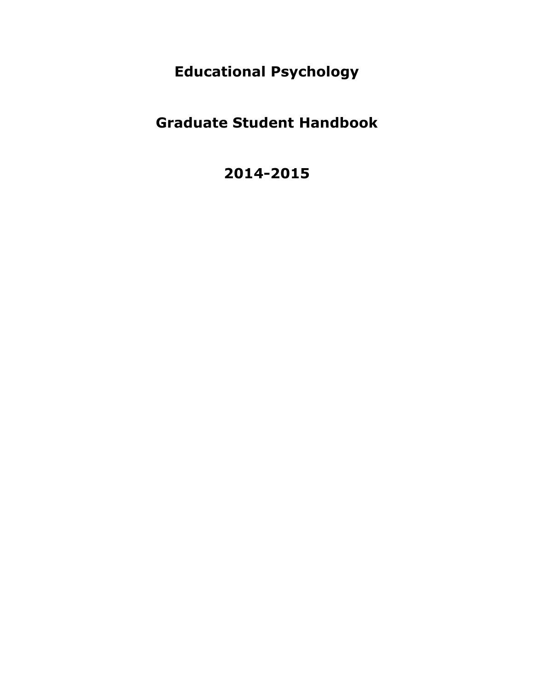**Educational Psychology**

# **Graduate Student Handbook**

# **2014-2015**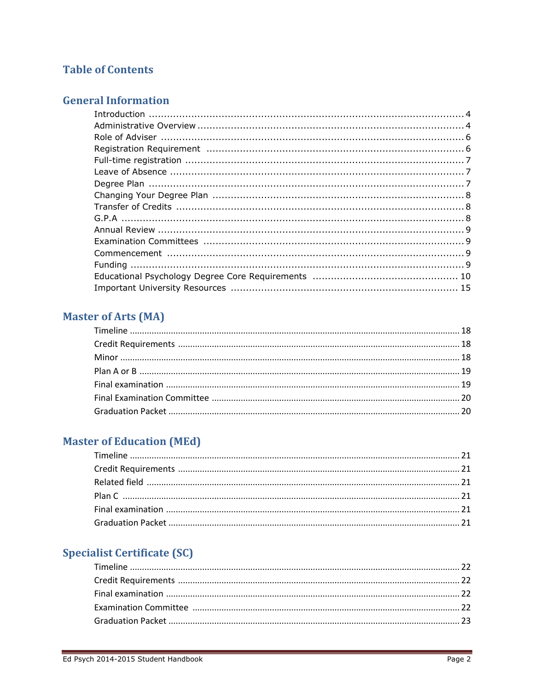# **Table of Contents**

# **General Information**

# **Master of Arts (MA)**

# **Master of Education (MEd)**

# **Specialist Certificate (SC)**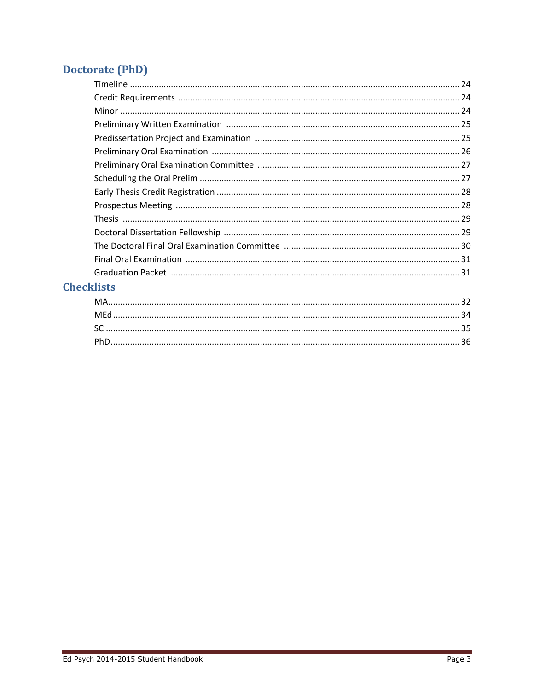# **Doctorate (PhD)**

| <b>Checklists</b> |  |
|-------------------|--|
|                   |  |
|                   |  |
|                   |  |
|                   |  |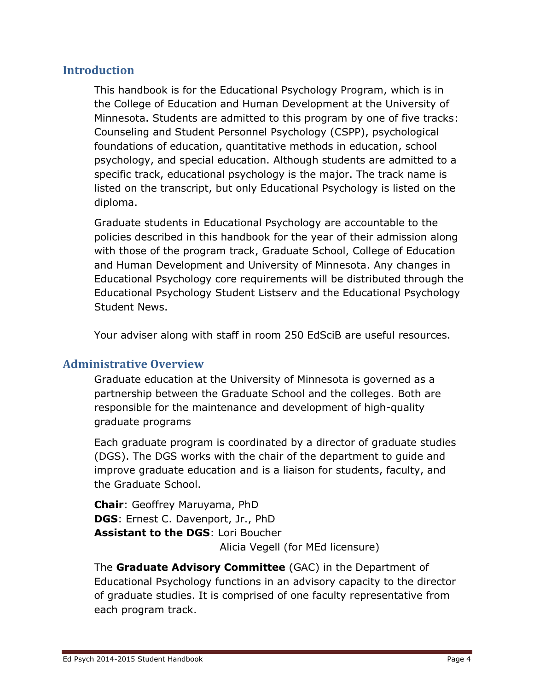# **Introduction**

This handbook is for the Educational Psychology Program, which is in the College of Education and Human Development at the University of Minnesota. Students are admitted to this program by one of five tracks: Counseling and Student Personnel Psychology (CSPP), psychological foundations of education, quantitative methods in education, school psychology, and special education. Although students are admitted to a specific track, educational psychology is the major. The track name is listed on the transcript, but only Educational Psychology is listed on the diploma.

Graduate students in Educational Psychology are accountable to the policies described in this handbook for the year of their admission along with those of the program track, Graduate School, College of Education and Human Development and University of Minnesota. Any changes in Educational Psychology core requirements will be distributed through the Educational Psychology Student Listserv and the Educational Psychology Student News.

Your adviser along with staff in room 250 EdSciB are useful resources.

# **Administrative Overview**

Graduate education at the University of Minnesota is governed as a partnership between the Graduate School and the colleges. Both are responsible for the maintenance and development of high-quality graduate programs

Each graduate program is coordinated by a director of graduate studies (DGS). The DGS works with the chair of the department to guide and improve graduate education and is a liaison for students, faculty, and the Graduate School.

**Chair**: Geoffrey Maruyama, PhD **DGS**: Ernest C. Davenport, Jr., PhD **Assistant to the DGS**: Lori Boucher Alicia Vegell (for MEd licensure)

The **Graduate Advisory Committee** (GAC) in the Department of Educational Psychology functions in an advisory capacity to the director of graduate studies. It is comprised of one faculty representative from each program track.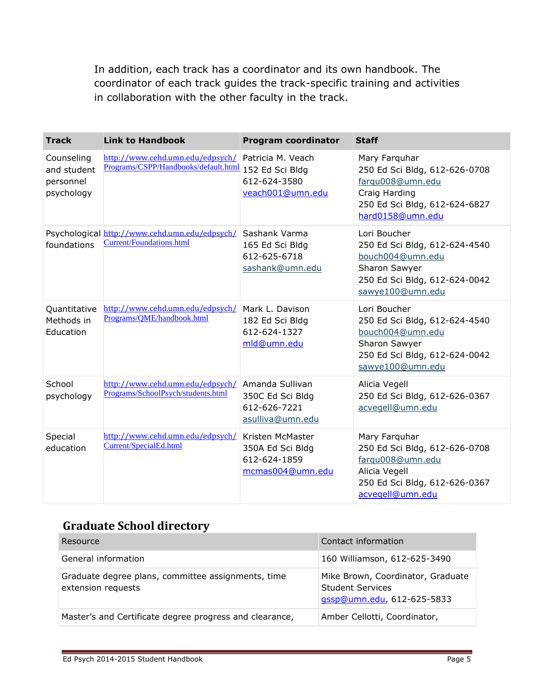In addition, each track has a coordinator and its own handbook. The coordinator of each track guides the track-specific training and activities in collaboration with the other faculty in the track.

| <b>Track</b>                                         | <b>Link to Handbook</b>                                                           | <b>Program coordinator</b>                                               | <b>Staff</b>                                                                                                                             |
|------------------------------------------------------|-----------------------------------------------------------------------------------|--------------------------------------------------------------------------|------------------------------------------------------------------------------------------------------------------------------------------|
| Counseling<br>and student<br>personnel<br>psychology | http://www.cehd.umn.edu/edpsych/<br>Programs/CSPP/Handbooks/default.html          | Patricia M. Veach<br>152 Ed Sci Bldg<br>612-624-3580<br>veach001@umn.edu | Mary Farquhar<br>250 Ed Sci Bldg, 612-626-0708<br>farqu008@umn.edu<br>Craig Harding<br>250 Ed Sci Bldg, 612-624-6827<br>hard0158@umn.edu |
| foundations                                          | Psychological http://www.cehd.umn.edu/edpsych/<br><b>Current/Foundations.html</b> | Sashank Varma<br>165 Ed Sci Bldg<br>612-625-6718<br>sashank@umn.edu      | Lori Boucher<br>250 Ed Sci Bldg, 612-624-4540<br>bouch004@umn.edu<br>Sharon Sawyer<br>250 Ed Sci Bldg, 612-624-0042<br>sawye100@umn.edu  |
| Quantitative<br>Methods in<br>Education              | http://www.cehd.umn.edu/edpsych/<br>Programs/QME/handbook.html                    | Mark L. Davison<br>182 Ed Sci Bldg<br>612-624-1327<br>mld@umn.edu        | Lori Boucher<br>250 Ed Sci Bldg, 612-624-4540<br>bouch004@umn.edu<br>Sharon Sawyer<br>250 Ed Sci Bldg, 612-624-0042<br>sawye100@umn.edu  |
| School<br>psychology                                 | http://www.cehd.umn.edu/edpsych/<br>Programs/SchoolPsych/students.html            | Amanda Sullivan<br>350C Ed Sci Bldg<br>612-626-7221<br>asulliva@umn.edu  | Alicia Vegell<br>250 Ed Sci Bldg, 612-626-0367<br>acvegell@umn.edu                                                                       |
| Special<br>education                                 | http://www.cehd.umn.edu/edpsych/<br>Current/SpecialEd.html                        | Kristen McMaster<br>350A Ed Sci Bldg<br>612-624-1859<br>mcmas004@umn.edu | Mary Farquhar<br>250 Ed Sci Bldg, 612-626-0708<br>farqu008@umn.edu<br>Alicia Vegell<br>250 Ed Sci Bldg, 612-626-0367<br>acvegell@umn.edu |

# **Graduate School directory**

| Resource                                                                 | Contact information                                                                        |
|--------------------------------------------------------------------------|--------------------------------------------------------------------------------------------|
| General information                                                      | 160 Williamson, 612-625-3490                                                               |
| Graduate degree plans, committee assignments, time<br>extension requests | Mike Brown, Coordinator, Graduate<br><b>Student Services</b><br>gssp@umn.edu, 612-625-5833 |
| Master's and Certificate degree progress and clearance,                  | Amber Cellotti, Coordinator,                                                               |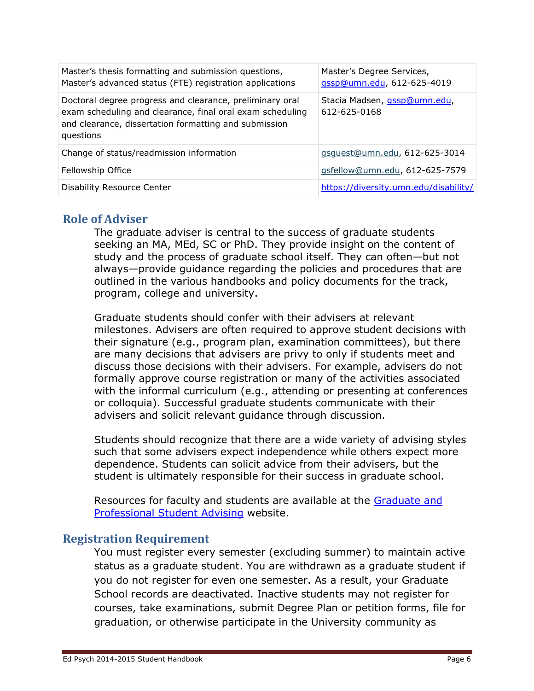| Master's thesis formatting and submission questions,<br>Master's advanced status (FTE) registration applications                                                                            | Master's Degree Services,<br>gssp@umn.edu, 612-625-4019 |
|---------------------------------------------------------------------------------------------------------------------------------------------------------------------------------------------|---------------------------------------------------------|
| Doctoral degree progress and clearance, preliminary oral<br>exam scheduling and clearance, final oral exam scheduling<br>and clearance, dissertation formatting and submission<br>questions | Stacia Madsen, gssp@umn.edu,<br>612-625-0168            |
| Change of status/readmission information                                                                                                                                                    | gsquest@umn.edu, 612-625-3014                           |
| Fellowship Office                                                                                                                                                                           | gsfellow@umn.edu, 612-625-7579                          |
| <b>Disability Resource Center</b>                                                                                                                                                           | https://diversity.umn.edu/disability/                   |

# **Role of Adviser**

The graduate adviser is central to the success of graduate students seeking an MA, MEd, SC or PhD. They provide insight on the content of study and the process of graduate school itself. They can often—but not always—provide guidance regarding the policies and procedures that are outlined in the various handbooks and policy documents for the track, program, college and university.

Graduate students should confer with their advisers at relevant milestones. Advisers are often required to approve student decisions with their signature (e.g., program plan, examination committees), but there are many decisions that advisers are privy to only if students meet and discuss those decisions with their advisers. For example, advisers do not formally approve course registration or many of the activities associated with the informal curriculum (e.g., attending or presenting at conferences or colloquia). Successful graduate students communicate with their advisers and solicit relevant guidance through discussion.

Students should recognize that there are a wide variety of advising styles such that some advisers expect independence while others expect more dependence. Students can solicit advice from their advisers, but the student is ultimately responsible for their success in graduate school.

Resources for faculty and students are available at the [Graduate and](http://www.gradvising.umn.edu/)  [Professional Student Advising](http://www.gradvising.umn.edu/) website.

# **Registration Requirement**

You must register every semester (excluding summer) to maintain active status as a graduate student. You are withdrawn as a graduate student if you do not register for even one semester. As a result, your Graduate School records are deactivated. Inactive students may not register for courses, take examinations, submit Degree Plan or petition forms, file for graduation, or otherwise participate in the University community as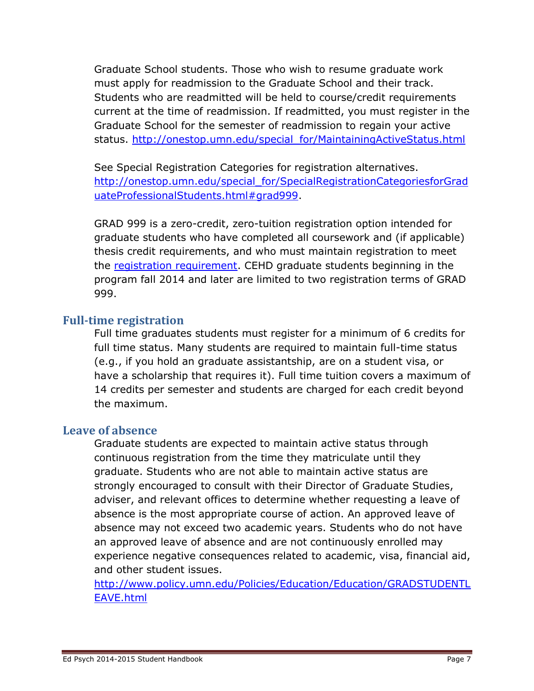Graduate School students. Those who wish to resume graduate work must apply for readmission to the Graduate School and their track. Students who are readmitted will be held to course/credit requirements current at the time of readmission. If readmitted, you must register in the Graduate School for the semester of readmission to regain your active status. [http://onestop.umn.edu/special\\_for/MaintainingActiveStatus.html](http://onestop.umn.edu/special_for/MaintainingActiveStatus.html)

See Special Registration Categories for registration alternatives. [http://onestop.umn.edu/special\\_for/SpecialRegistrationCategoriesforGrad](http://onestop.umn.edu/special_for/SpecialRegistrationCategoriesforGraduateProfessionalStudents.html#grad999) [uateProfessionalStudents.html#grad999.](http://onestop.umn.edu/special_for/SpecialRegistrationCategoriesforGraduateProfessionalStudents.html#grad999)

GRAD 999 is a zero-credit, zero-tuition registration option intended for graduate students who have completed all coursework and (if applicable) thesis credit requirements, and who must maintain registration to meet the [registration requirement.](http://onestop.umn.edu/special_for/MaintainingActiveStatus.html) CEHD graduate students beginning in the program fall 2014 and later are limited to two registration terms of GRAD 999.

#### **Full-time registration**

Full time graduates students must register for a minimum of 6 credits for full time status. Many students are required to maintain full-time status (e.g., if you hold an graduate assistantship, are on a student visa, or have a scholarship that requires it). Full time tuition covers a maximum of 14 credits per semester and students are charged for each credit beyond the maximum.

#### **Leave of absence**

Graduate students are expected to maintain active status through continuous registration from the time they matriculate until they graduate. Students who are not able to maintain active status are strongly encouraged to consult with their Director of Graduate Studies, adviser, and relevant offices to determine whether requesting a leave of absence is the most appropriate course of action. An approved leave of absence may not exceed two academic years. Students who do not have an approved leave of absence and are not continuously enrolled may experience negative consequences related to academic, visa, financial aid, and other student issues.

[http://www.policy.umn.edu/Policies/Education/Education/GRADSTUDENTL](http://www.policy.umn.edu/Policies/Education/Education/GRADSTUDENTLEAVE.html) [EAVE.html](http://www.policy.umn.edu/Policies/Education/Education/GRADSTUDENTLEAVE.html)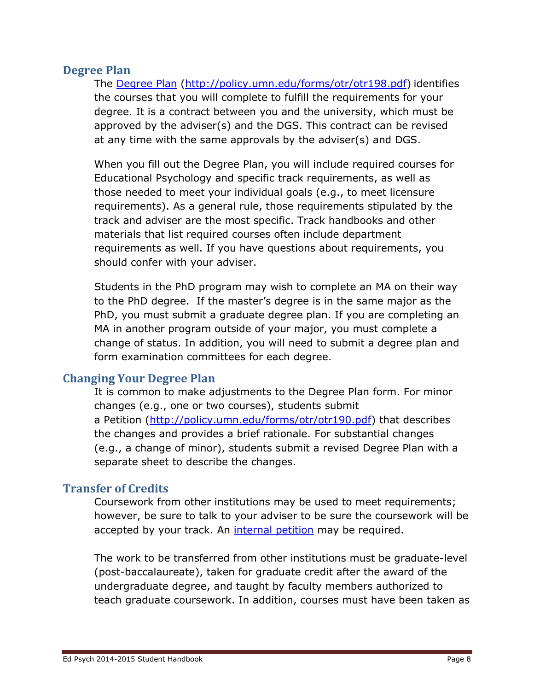## **Degree Plan**

The [Degree Plan](http://policy.umn.edu/forms/otr/otr198.pdf) [\(http://policy.umn.edu/forms/otr/otr198.pdf\)](http://policy.umn.edu/forms/otr/otr198.pdf) identifies the courses that you will complete to fulfill the requirements for your degree. It is a contract between you and the university, which must be approved by the adviser(s) and the DGS. This contract can be revised at any time with the same approvals by the adviser(s) and DGS.

When you fill out the Degree Plan, you will include required courses for Educational Psychology and specific track requirements, as well as those needed to meet your individual goals (e.g., to meet licensure requirements). As a general rule, those requirements stipulated by the track and adviser are the most specific. Track handbooks and other materials that list required courses often include department requirements as well. If you have questions about requirements, you should confer with your adviser.

Students in the PhD program may wish to complete an MA on their way to the PhD degree. If the master's degree is in the same major as the PhD, you must submit a graduate degree plan. If you are completing an MA in another program outside of your major, you must complete a change of status. In addition, you will need to submit a degree plan and form examination committees for each degree.

# **Changing Your Degree Plan**

It is common to make adjustments to the Degree Plan form. For minor changes (e.g., one or two courses), students submit a Petition [\(http://policy.umn.edu/forms/otr/otr190.pdf\)](http://policy.umn.edu/forms/otr/otr190.pdf) that describes the changes and provides a brief rationale. For substantial changes (e.g., a change of minor), students submit a revised Degree Plan with a separate sheet to describe the changes.

# **Transfer of Credits**

Coursework from other institutions may be used to meet requirements; however, be sure to talk to your adviser to be sure the coursework will be accepted by your track. An [internal petition](http://www.cehd.umn.edu/EdPsych/forms/default.html) may be required.

The work to be transferred from other institutions must be graduate-level (post-baccalaureate), taken for graduate credit after the award of the undergraduate degree, and taught by faculty members authorized to teach graduate coursework. In addition, courses must have been taken as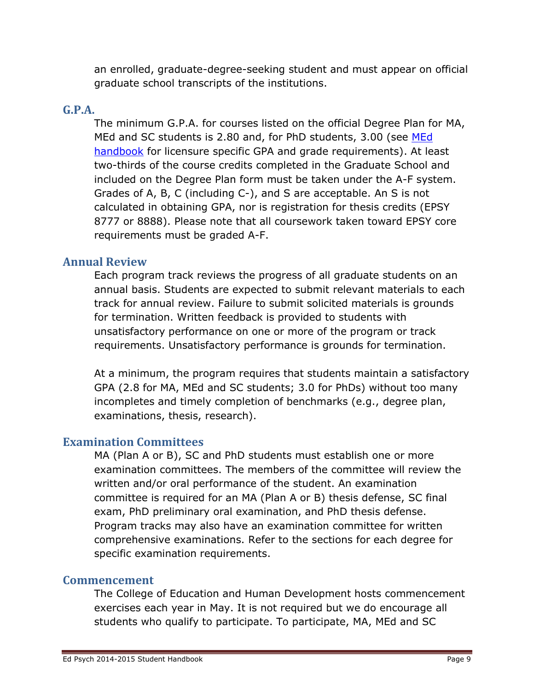an enrolled, graduate-degree-seeking student and must appear on official graduate school transcripts of the institutions.

## **G.P.A.**

The minimum G.P.A. for courses listed on the official Degree Plan for MA, MEd and SC students is 2.80 and, for PhD students, 3.00 (see MEd [handbook](http://www.cehd.umn.edu/current/graduate/advising/) for licensure specific GPA and grade requirements). At least two-thirds of the course credits completed in the Graduate School and included on the Degree Plan form must be taken under the A-F system. Grades of A, B, C (including C-), and S are acceptable. An S is not calculated in obtaining GPA, nor is registration for thesis credits (EPSY 8777 or 8888). Please note that all coursework taken toward EPSY core requirements must be graded A-F.

# **Annual Review**

Each program track reviews the progress of all graduate students on an annual basis. Students are expected to submit relevant materials to each track for annual review. Failure to submit solicited materials is grounds for termination. Written feedback is provided to students with unsatisfactory performance on one or more of the program or track requirements. Unsatisfactory performance is grounds for termination.

At a minimum, the program requires that students maintain a satisfactory GPA (2.8 for MA, MEd and SC students; 3.0 for PhDs) without too many incompletes and timely completion of benchmarks (e.g., degree plan, examinations, thesis, research).

# **Examination Committees**

MA (Plan A or B), SC and PhD students must establish one or more examination committees. The members of the committee will review the written and/or oral performance of the student. An examination committee is required for an MA (Plan A or B) thesis defense, SC final exam, PhD preliminary oral examination, and PhD thesis defense. Program tracks may also have an examination committee for written comprehensive examinations. Refer to the sections for each degree for specific examination requirements.

## **Commencement**

The College of Education and Human Development hosts commencement exercises each year in May. It is not required but we do encourage all students who qualify to participate. To participate, MA, MEd and SC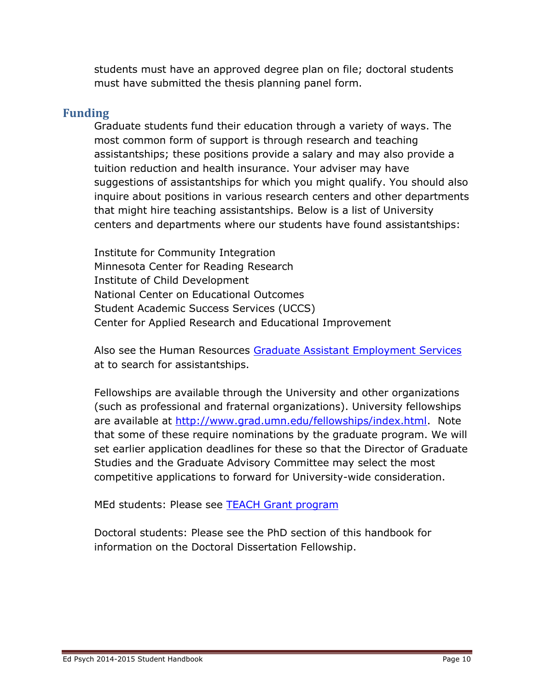students must have an approved degree plan on file; doctoral students must have submitted the thesis planning panel form.

# **Funding**

Graduate students fund their education through a variety of ways. The most common form of support is through research and teaching assistantships; these positions provide a salary and may also provide a tuition reduction and health insurance. Your adviser may have suggestions of assistantships for which you might qualify. You should also inquire about positions in various research centers and other departments that might hire teaching assistantships. Below is a list of University centers and departments where our students have found assistantships:

Institute for Community Integration Minnesota Center for Reading Research Institute of Child Development National Center on Educational Outcomes Student Academic Success Services (UCCS) Center for Applied Research and Educational Improvement

Also see the Human Resources [Graduate Assistant Employment Services](http://www1.umn.edu/ohr/gae/) at to search for assistantships.

Fellowships are available through the University and other organizations (such as professional and fraternal organizations). University fellowships are available at [http://www.grad.umn.edu/fellowships/index.html.](http://www.grad.umn.edu/fellowships/index.html) Note that some of these require nominations by the graduate program. We will set earlier application deadlines for these so that the Director of Graduate Studies and the Graduate Advisory Committee may select the most competitive applications to forward for University-wide consideration.

MEd students: Please see [TEACH Grant program](http://onestop.umn.edu/finances/financial_aid/grants_and_waivers/employment_service_related/teach_grant/)

Doctoral students: Please see the PhD section of this handbook for information on the Doctoral Dissertation Fellowship.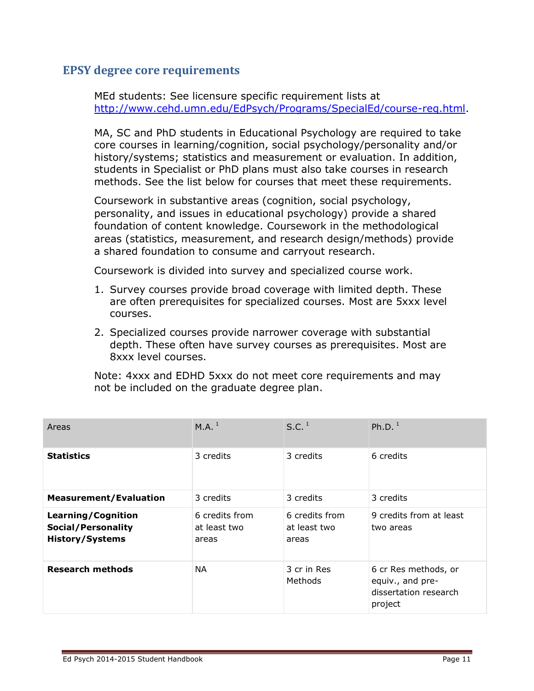# **EPSY degree core requirements**

MEd students: See licensure specific requirement lists at [http://www.cehd.umn.edu/EdPsych/Programs/SpecialEd/course-req.html.](http://www.cehd.umn.edu/EdPsych/Programs/SpecialEd/course-req.html)

MA, SC and PhD students in Educational Psychology are required to take core courses in learning/cognition, social psychology/personality and/or history/systems; statistics and measurement or evaluation. In addition, students in Specialist or PhD plans must also take courses in research methods. See the list below for courses that meet these requirements.

Coursework in substantive areas (cognition, social psychology, personality, and issues in educational psychology) provide a shared foundation of content knowledge. Coursework in the methodological areas (statistics, measurement, and research design/methods) provide a shared foundation to consume and carryout research.

Coursework is divided into survey and specialized course work.

- 1. Survey courses provide broad coverage with limited depth. These are often prerequisites for specialized courses. Most are 5xxx level courses.
- 2. Specialized courses provide narrower coverage with substantial depth. These often have survey courses as prerequisites. Most are 8xxx level courses.

Note: 4xxx and EDHD 5xxx do not meet core requirements and may not be included on the graduate degree plan.

| Areas                                                                     | M.A. <sup>1</sup>                       | S.C. <sup>1</sup>                       | Ph.D. $1$                                                                    |
|---------------------------------------------------------------------------|-----------------------------------------|-----------------------------------------|------------------------------------------------------------------------------|
| <b>Statistics</b>                                                         | 3 credits                               | 3 credits                               | 6 credits                                                                    |
| <b>Measurement/Evaluation</b>                                             | 3 credits                               | 3 credits                               | 3 credits                                                                    |
| Learning/Cognition<br><b>Social/Personality</b><br><b>History/Systems</b> | 6 credits from<br>at least two<br>areas | 6 credits from<br>at least two<br>areas | 9 credits from at least<br>two areas                                         |
| <b>Research methods</b>                                                   | <b>NA</b>                               | 3 cr in Res<br>Methods                  | 6 cr Res methods, or<br>equiv., and pre-<br>dissertation research<br>project |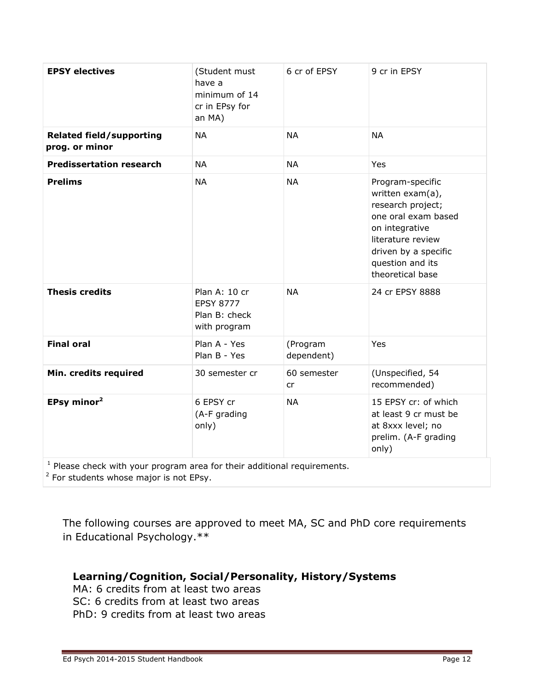| <b>EPSY electives</b>                             | (Student must<br>have a<br>minimum of 14<br>cr in EPsy for<br>an MA) | 6 cr of EPSY           | 9 cr in EPSY                                                                                                                                                                            |
|---------------------------------------------------|----------------------------------------------------------------------|------------------------|-----------------------------------------------------------------------------------------------------------------------------------------------------------------------------------------|
| <b>Related field/supporting</b><br>prog. or minor | <b>NA</b>                                                            | <b>NA</b>              | <b>NA</b>                                                                                                                                                                               |
| <b>Predissertation research</b>                   | <b>NA</b>                                                            | <b>NA</b>              | Yes                                                                                                                                                                                     |
| <b>Prelims</b>                                    | <b>NA</b>                                                            | <b>NA</b>              | Program-specific<br>written exam(a),<br>research project;<br>one oral exam based<br>on integrative<br>literature review<br>driven by a specific<br>question and its<br>theoretical base |
| <b>Thesis credits</b>                             | Plan A: 10 cr<br><b>EPSY 8777</b><br>Plan B: check<br>with program   | <b>NA</b>              | 24 cr EPSY 8888                                                                                                                                                                         |
| <b>Final oral</b>                                 | Plan A - Yes<br>Plan B - Yes                                         | (Program<br>dependent) | Yes                                                                                                                                                                                     |
| Min. credits required                             | 30 semester cr                                                       | 60 semester<br>cr      | (Unspecified, 54<br>recommended)                                                                                                                                                        |
| EPsy minor <sup>2</sup>                           | 6 EPSY cr<br>(A-F grading<br>only)                                   | <b>NA</b>              | 15 EPSY cr: of which<br>at least 9 cr must be<br>at 8xxx level; no<br>prelim. (A-F grading<br>only)                                                                                     |

 $1$  Please check with your program area for their additional requirements.

 $2$  For students whose major is not EPsy.

The following courses are approved to meet MA, SC and PhD core requirements in Educational Psychology.\*\*

## **Learning/Cognition, Social/Personality, History/Systems**

MA: 6 credits from at least two areas SC: 6 credits from at least two areas PhD: 9 credits from at least two areas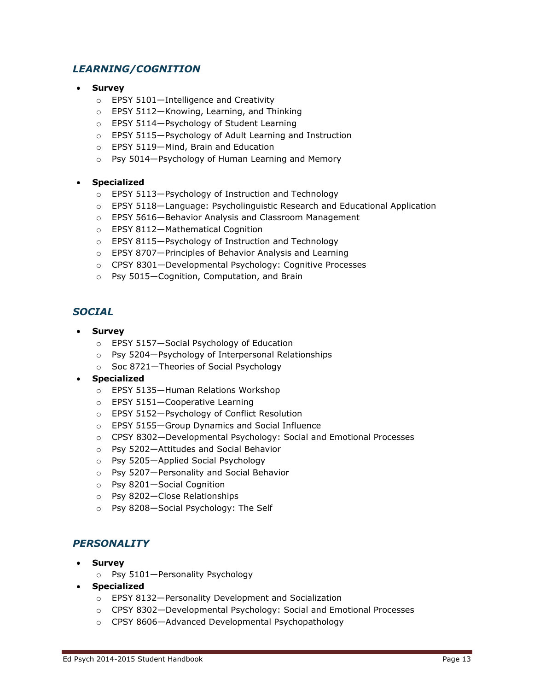#### *LEARNING/COGNITION*

- **Survey**
	- o EPSY 5101—Intelligence and Creativity
	- o EPSY 5112—Knowing, Learning, and Thinking
	- o EPSY 5114—Psychology of Student Learning
	- o EPSY 5115—Psychology of Adult Learning and Instruction
	- o EPSY 5119—Mind, Brain and Education
	- o Psy 5014—Psychology of Human Learning and Memory

#### **Specialized**

- o EPSY 5113—Psychology of Instruction and Technology
- o EPSY 5118—Language: Psycholinguistic Research and Educational Application
- o EPSY 5616—Behavior Analysis and Classroom Management
- o EPSY 8112—Mathematical Cognition
- o EPSY 8115—Psychology of Instruction and Technology
- o EPSY 8707—Principles of Behavior Analysis and Learning
- o CPSY 8301—Developmental Psychology: Cognitive Processes
- o Psy 5015—Cognition, Computation, and Brain

#### *SOCIAL*

- **Survey**
	- o EPSY 5157—Social Psychology of Education
	- o Psy 5204—Psychology of Interpersonal Relationships
	- o Soc 8721—Theories of Social Psychology
- **Specialized**
	- o EPSY 5135—Human Relations Workshop
	- o EPSY 5151—Cooperative Learning
	- o EPSY 5152—Psychology of Conflict Resolution
	- o EPSY 5155—Group Dynamics and Social Influence
	- o CPSY 8302—Developmental Psychology: Social and Emotional Processes
	- o Psy 5202—Attitudes and Social Behavior
	- o Psy 5205—Applied Social Psychology
	- o Psy 5207—Personality and Social Behavior
	- o Psy 8201—Social Cognition
	- o Psy 8202—Close Relationships
	- o Psy 8208—Social Psychology: The Self

#### *PERSONALITY*

- **Survey**
	- o Psy 5101—Personality Psychology
- **Specialized**
	- o EPSY 8132—Personality Development and Socialization
	- o CPSY 8302—Developmental Psychology: Social and Emotional Processes
	- o CPSY 8606—Advanced Developmental Psychopathology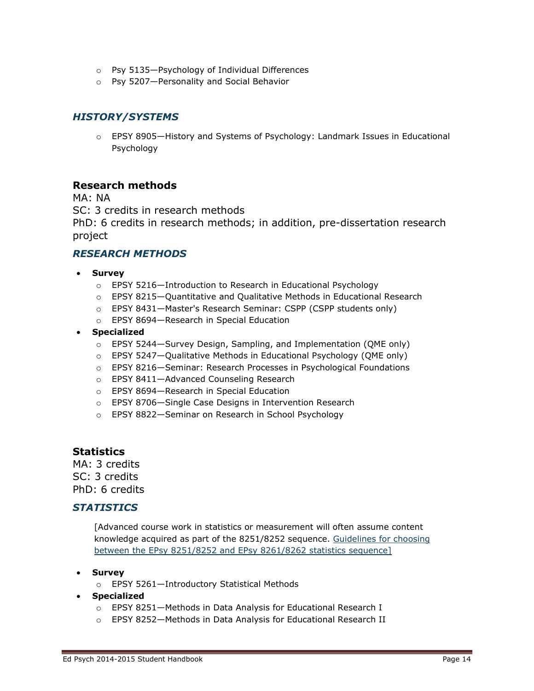- o Psy 5135—Psychology of Individual Differences
- o Psy 5207—Personality and Social Behavior

#### *HISTORY/SYSTEMS*

o EPSY 8905—History and Systems of Psychology: Landmark Issues in Educational Psychology

#### **Research methods**

MA: NA

SC: 3 credits in research methods PhD: 6 credits in research methods; in addition, pre-dissertation research project

#### *RESEARCH METHODS*

- **Survey**
	- o EPSY 5216—Introduction to Research in Educational Psychology
	- o EPSY 8215—Quantitative and Qualitative Methods in Educational Research
	- o EPSY 8431—Master's Research Seminar: CSPP (CSPP students only)
	- o EPSY 8694—Research in Special Education

#### **Specialized**

- o EPSY 5244—Survey Design, Sampling, and Implementation (QME only)
- o EPSY 5247—Qualitative Methods in Educational Psychology (QME only)
- o EPSY 8216—Seminar: Research Processes in Psychological Foundations
- o EPSY 8411—Advanced Counseling Research
- o EPSY 8694—Research in Special Education
- o EPSY 8706—Single Case Designs in Intervention Research
- o EPSY 8822—Seminar on Research in School Psychology

#### **Statistics**

MA: 3 credits SC: 3 credits PhD: 6 credits

#### *STATISTICS*

[Advanced course work in statistics or measurement will often assume content knowledge acquired as part of the 8251/8252 sequence. [Guidelines](http://www.cehd.umn.edu/EdPsych/Current/handbook/2010-11/Stat_sequence_advising.pdf) for choosing between the EPsy [8251/8252](http://www.cehd.umn.edu/EdPsych/Current/handbook/2010-11/Stat_sequence_advising.pdf) and EPsy 8261/8262 statistics sequence]

- **Survey**
	- o EPSY 5261—Introductory Statistical Methods
- **Specialized**
	- o EPSY 8251—Methods in Data Analysis for Educational Research I
	- o EPSY 8252—Methods in Data Analysis for Educational Research II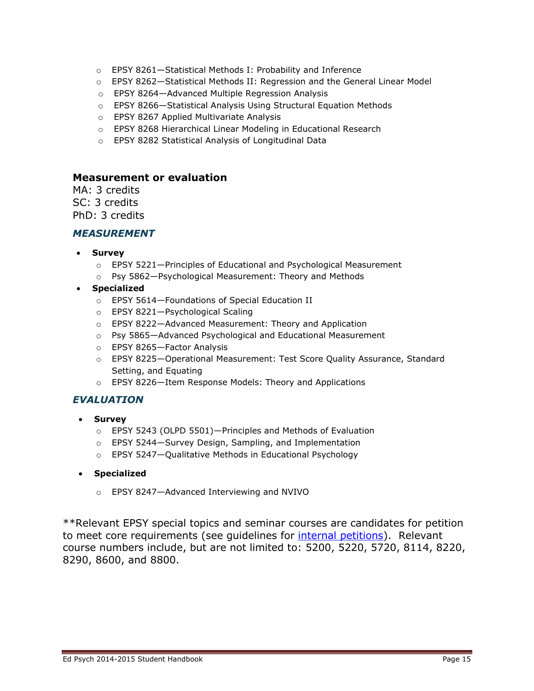- o EPSY 8261—Statistical Methods I: Probability and Inference
- o EPSY 8262—Statistical Methods II: Regression and the General Linear Model
- o EPSY 8264—Advanced Multiple Regression Analysis
- o EPSY 8266—Statistical Analysis Using Structural Equation Methods
- o EPSY 8267 Applied Multivariate Analysis
- o EPSY 8268 Hierarchical Linear Modeling in Educational Research
- o EPSY 8282 Statistical Analysis of Longitudinal Data

#### **Measurement or evaluation**

MA: 3 credits SC: 3 credits PhD: 3 credits

#### *MEASUREMENT*

- **Survey**
	- o EPSY 5221—Principles of Educational and Psychological Measurement
	- o Psy 5862—Psychological Measurement: Theory and Methods
- **Specialized**
	- o EPSY 5614—Foundations of Special Education II
	- o EPSY 8221—Psychological Scaling
	- o EPSY 8222—Advanced Measurement: Theory and Application
	- o Psy 5865—Advanced Psychological and Educational Measurement
	- o EPSY 8265—Factor Analysis
	- o EPSY 8225—Operational Measurement: Test Score Quality Assurance, Standard Setting, and Equating
	- o EPSY 8226—Item Response Models: Theory and Applications

#### *EVALUATION*

- **Survey**
	- o EPSY 5243 (OLPD 5501)—Principles and Methods of Evaluation
	- o EPSY 5244—Survey Design, Sampling, and Implementation
	- o EPSY 5247—Qualitative Methods in Educational Psychology
- **Specialized**
	- o EPSY 8247—Advanced Interviewing and NVIVO

\*\*Relevant EPSY special topics and seminar courses are candidates for petition to meet core requirements (see guidelines for internal [petitions\)](http://www.cehd.umn.edu/EdPsych/forms/default.html). Relevant course numbers include, but are not limited to: 5200, 5220, 5720, 8114, 8220, 8290, 8600, and 8800.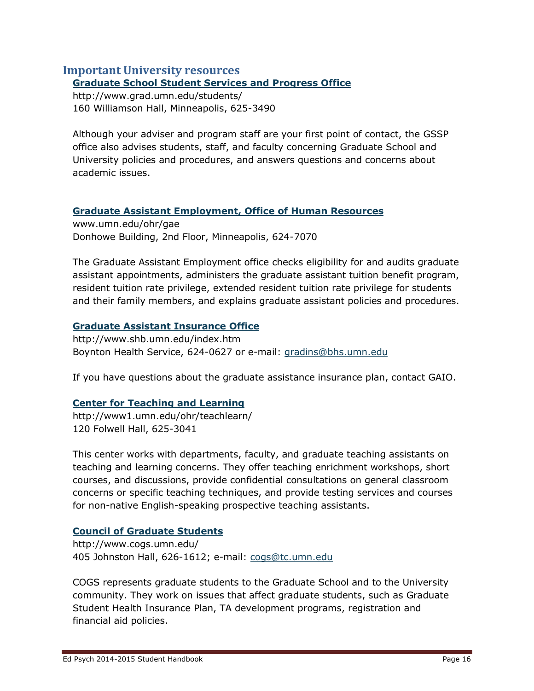#### **Important University resources [Graduate](http://www.grad.umn.edu/students/) School Student Services and Progress Office**

http://www.grad.umn.edu/students/ 160 Williamson Hall, Minneapolis, 625-3490

Although your adviser and program staff are your first point of contact, the GSSP office also advises students, staff, and faculty concerning Graduate School and University policies and procedures, and answers questions and concerns about academic issues.

#### **Graduate Assistant [Employment,](http://www1.umn.edu/ohr/gae/) Office of Human Resources**

www.umn.edu/ohr/gae Donhowe Building, 2nd Floor, Minneapolis, 624-7070

The Graduate Assistant Employment office checks eligibility for and audits graduate assistant appointments, administers the graduate assistant tuition benefit program, resident tuition rate privilege, extended resident tuition rate privilege for students and their family members, and explains graduate assistant policies and procedures.

#### **Graduate Assistant [Insurance](http://www.bhs.umn.edu/insurance/graduate/index.htm) Office**

http://www.shb.umn.edu/index.htm Boynton Health Service, 624-0627 or e-mail: [gradins@bhs.umn.edu](mailto:gradins@bhs.umn.edu)

If you have questions about the graduate assistance insurance plan, contact GAIO.

#### **Center for [Teaching](http://www1.umn.edu/ohr/teachlearn/) and Learning**

http://www1.umn.edu/ohr/teachlearn/ 120 Folwell Hall, 625-3041

This center works with departments, faculty, and graduate teaching assistants on teaching and learning concerns. They offer teaching enrichment workshops, short courses, and discussions, provide confidential consultations on general classroom concerns or specific teaching techniques, and provide testing services and courses for non-native English-speaking prospective teaching assistants.

#### **Council of [Graduate](http://www.cogs.umn.edu/) Students**

http://www.cogs.umn.edu/ 405 Johnston Hall, 626-1612; e-mail: [cogs@tc.umn.edu](mailto:cogs@tc.umn.edu)

COGS represents graduate students to the Graduate School and to the University community. They work on issues that affect graduate students, such as Graduate Student Health Insurance Plan, TA development programs, registration and financial aid policies.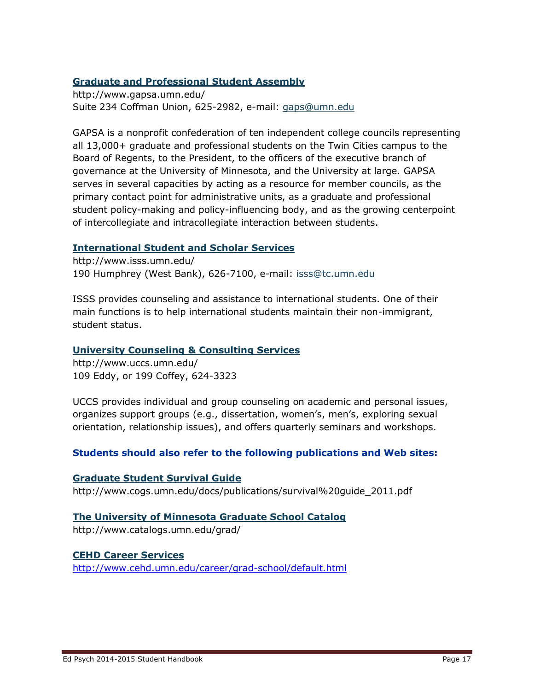#### **Graduate and [Professional](http://www.gapsa.umn.edu/) Student Assembly**

http://www.gapsa.umn.edu/ Suite 234 Coffman Union, 625-2982, e-mail: [gaps@umn.edu](mailto:gaps@umn.edu)

GAPSA is a nonprofit confederation of ten independent college councils representing all 13,000+ graduate and professional students on the Twin Cities campus to the Board of Regents, to the President, to the officers of the executive branch of governance at the University of Minnesota, and the University at large. GAPSA serves in several capacities by acting as a resource for member councils, as the primary contact point for administrative units, as a graduate and professional student policy-making and policy-influencing body, and as the growing centerpoint of intercollegiate and intracollegiate interaction between students.

#### **[International](http://www.isss.umn.edu/) Student and Scholar Services**

http://www.isss.umn.edu/ 190 Humphrey (West Bank), 626-7100, e-mail: [isss@tc.umn.edu](mailto:isss@tc.umn.edu)

ISSS provides counseling and assistance to international students. One of their main functions is to help international students maintain their non-immigrant, student status.

#### **University [Counseling](http://www.uccs.umn.edu/) & Consulting Services**

http://www.uccs.umn.edu/ 109 Eddy, or 199 Coffey, 624-3323

UCCS provides individual and group counseling on academic and personal issues, organizes support groups (e.g., dissertation, women's, men's, exploring sexual orientation, relationship issues), and offers quarterly seminars and workshops.

#### **Students should also refer to the following publications and Web sites:**

**[Graduate](http://www.cogs.umn.edu/docs/publications/survival%20guide_2011.pdf) Student Survival Guide** http://www.cogs.umn.edu/docs/publications/survival%20guide\_2011.pdf

#### **The University of [Minnesota](http://www.catalogs.umn.edu/grad/) Graduate School Catalog**

http://www.catalogs.umn.edu/grad/

#### **CEHD Career [Services](http://www.cehd.umn.edu/career/grad-school/default.html)** <http://www.cehd.umn.edu/career/grad-school/default.html>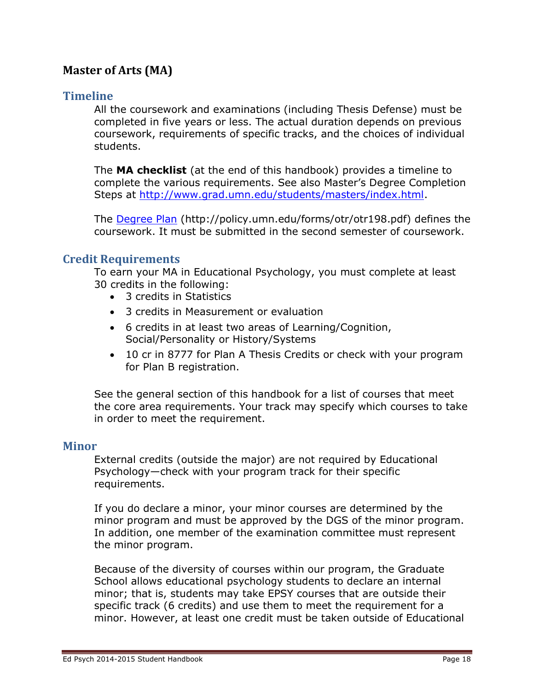# **Master of Arts (MA)**

# **Timeline**

All the coursework and examinations (including Thesis Defense) must be completed in five years or less. The actual duration depends on previous coursework, requirements of specific tracks, and the choices of individual students.

The **MA checklist** (at the end of this handbook) provides a timeline to complete the various requirements. See also Master's Degree Completion Steps at [http://www.grad.umn.edu/students/masters/index.html.](http://www.grad.umn.edu/students/masters/index.html)

The <u>Degree Plan</u> (http://policy.umn.edu/forms/otr/otr198.pdf) defines the coursework. It must be submitted in the second semester of coursework.

#### **Credit Requirements**

To earn your MA in Educational Psychology, you must complete at least 30 credits in the following:

- 3 credits in Statistics
- 3 credits in Measurement or evaluation
- 6 credits in at least two areas of Learning/Cognition, Social/Personality or History/Systems
- 10 cr in 8777 for Plan A Thesis Credits or check with your program for Plan B registration.

See the general section of this handbook for a list of courses that meet the core area requirements. Your track may specify which courses to take in order to meet the requirement.

#### **Minor**

External credits (outside the major) are not required by Educational Psychology—check with your program track for their specific requirements.

If you do declare a minor, your minor courses are determined by the minor program and must be approved by the DGS of the minor program. In addition, one member of the examination committee must represent the minor program.

Because of the diversity of courses within our program, the Graduate School allows educational psychology students to declare an internal minor; that is, students may take EPSY courses that are outside their specific track (6 credits) and use them to meet the requirement for a minor. However, at least one credit must be taken outside of Educational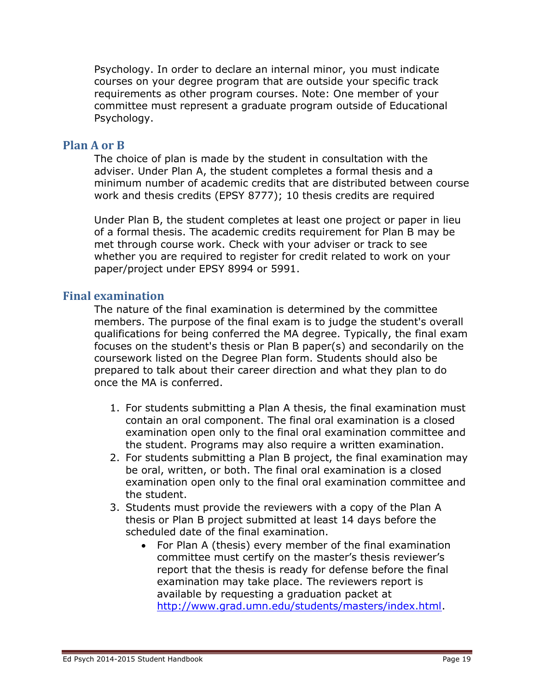Psychology. In order to declare an internal minor, you must indicate courses on your degree program that are outside your specific track requirements as other program courses. Note: One member of your committee must represent a graduate program outside of Educational Psychology.

#### **Plan A or B**

The choice of plan is made by the student in consultation with the adviser. Under Plan A, the student completes a formal thesis and a minimum number of academic credits that are distributed between course work and thesis credits (EPSY 8777); 10 thesis credits are required

Under Plan B, the student completes at least one project or paper in lieu of a formal thesis. The academic credits requirement for Plan B may be met through course work. Check with your adviser or track to see whether you are required to register for credit related to work on your paper/project under EPSY 8994 or 5991.

#### **Final examination**

The nature of the final examination is determined by the committee members. The purpose of the final exam is to judge the student's overall qualifications for being conferred the MA degree. Typically, the final exam focuses on the student's thesis or Plan B paper(s) and secondarily on the coursework listed on the Degree Plan form. Students should also be prepared to talk about their career direction and what they plan to do once the MA is conferred.

- 1. For students submitting a Plan A thesis, the final examination must contain an oral component. The final oral examination is a closed examination open only to the final oral examination committee and the student. Programs may also require a written examination.
- 2. For students submitting a Plan B project, the final examination may be oral, written, or both. The final oral examination is a closed examination open only to the final oral examination committee and the student.
- 3. Students must provide the reviewers with a copy of the Plan A thesis or Plan B project submitted at least 14 days before the scheduled date of the final examination.
	- For Plan A (thesis) every member of the final examination committee must certify on the master's thesis reviewer's report that the thesis is ready for defense before the final examination may take place. The reviewers report is available by requesting a graduation packet at [http://www.grad.umn.edu/students/masters/index.html.](http://www.grad.umn.edu/students/masters/index.html)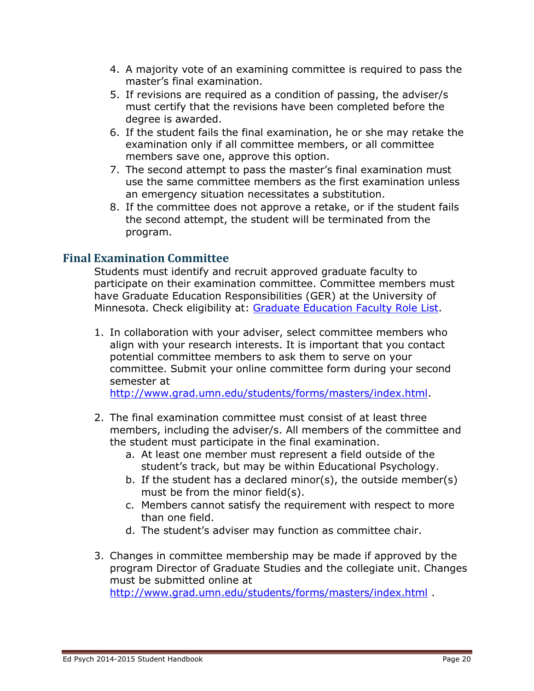- 4. A majority vote of an examining committee is required to pass the master's final examination.
- 5. If revisions are required as a condition of passing, the adviser/s must certify that the revisions have been completed before the degree is awarded.
- 6. If the student fails the final examination, he or she may retake the examination only if all committee members, or all committee members save one, approve this option.
- 7. The second attempt to pass the master's final examination must use the same committee members as the first examination unless an emergency situation necessitates a substitution.
- 8. If the committee does not approve a retake, or if the student fails the second attempt, the student will be terminated from the program.

# **Final Examination Committee**

Students must identify and recruit approved graduate faculty to participate on their examination committee. Committee members must have Graduate Education Responsibilities (GER) at the University of Minnesota. Check eligibility at: [Graduate Education Faculty Role List.](https://apps.asr.umn.edu/faculty_roles/)

1. In collaboration with your adviser, select committee members who align with your research interests. It is important that you contact potential committee members to ask them to serve on your committee. Submit your online committee form during your second semester at

[http://www.grad.umn.edu/students/forms/masters/index.html.](http://www.grad.umn.edu/students/forms/masters/index.html)

- 2. The final examination committee must consist of at least three members, including the adviser/s. All members of the committee and the student must participate in the final examination.
	- a. At least one member must represent a field outside of the student's track, but may be within Educational Psychology.
	- b. If the student has a declared minor(s), the outside member(s) must be from the minor field(s).
	- c. Members cannot satisfy the requirement with respect to more than one field.
	- d. The student's adviser may function as committee chair.
- 3. Changes in committee membership may be made if approved by the program Director of Graduate Studies and the collegiate unit. Changes must be submitted online at

<http://www.grad.umn.edu/students/forms/masters/index.html> .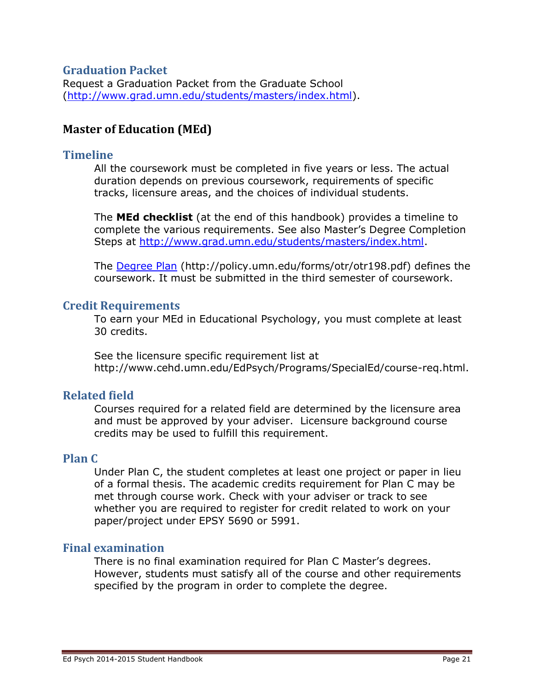# **Graduation Packet**

Request a Graduation Packet from the Graduate School [\(http://www.grad.umn.edu/students/masters/index.html\)](http://www.grad.umn.edu/students/masters/index.html).

# **Master of Education (MEd)**

#### **Timeline**

All the coursework must be completed in five years or less. The actual duration depends on previous coursework, requirements of specific tracks, licensure areas, and the choices of individual students.

The **MEd checklist** (at the end of this handbook) provides a timeline to complete the various requirements. See also Master's Degree Completion Steps at [http://www.grad.umn.edu/students/masters/index.html.](http://www.grad.umn.edu/students/masters/index.html)

The [Degree Plan](http://policy.umn.edu/forms/otr/otr198.pdf) (http://policy.umn.edu/forms/otr/otr198.pdf) defines the coursework. It must be submitted in the third semester of coursework.

#### **Credit Requirements**

To earn your MEd in Educational Psychology, you must complete at least 30 credits.

See the licensure specific requirement list at http://www.cehd.umn.edu/EdPsych/Programs/SpecialEd/course-req.html.

## **Related field**

Courses required for a related field are determined by the licensure area and must be approved by your adviser. Licensure background course credits may be used to fulfill this requirement.

## **Plan C**

Under Plan C, the student completes at least one project or paper in lieu of a formal thesis. The academic credits requirement for Plan C may be met through course work. Check with your adviser or track to see whether you are required to register for credit related to work on your paper/project under EPSY 5690 or 5991.

#### **Final examination**

There is no final examination required for Plan C Master's degrees. However, students must satisfy all of the course and other requirements specified by the program in order to complete the degree.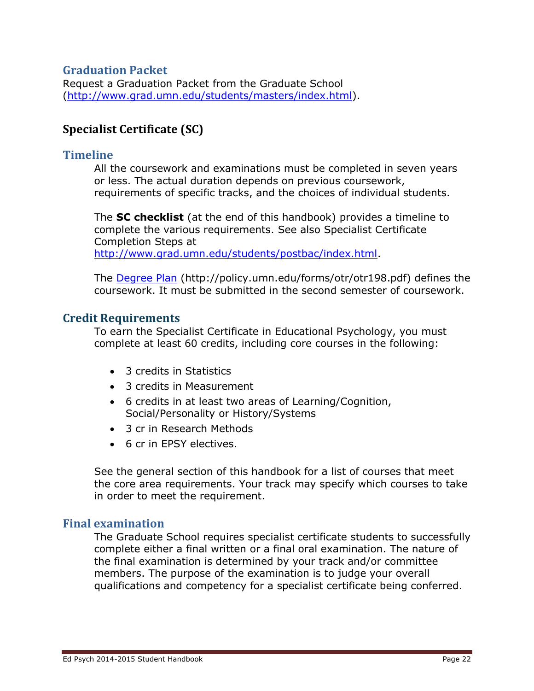# **Graduation Packet**

Request a Graduation Packet from the Graduate School [\(http://www.grad.umn.edu/students/masters/index.html\)](http://www.grad.umn.edu/students/masters/index.html).

# **Specialist Certificate (SC)**

## **Timeline**

All the coursework and examinations must be completed in seven years or less. The actual duration depends on previous coursework, requirements of specific tracks, and the choices of individual students.

The **SC checklist** (at the end of this handbook) provides a timeline to complete the various requirements. See also Specialist Certificate Completion Steps at

[http://www.grad.umn.edu/students/postbac/index.html.](http://www.grad.umn.edu/students/postbac/index.html)

The [Degree Plan](http://policy.umn.edu/forms/otr/otr198.pdf) (http://policy.umn.edu/forms/otr/otr198.pdf) defines the coursework. It must be submitted in the second semester of coursework.

## **Credit Requirements**

To earn the Specialist Certificate in Educational Psychology, you must complete at least 60 credits, including core courses in the following:

- 3 credits in Statistics
- 3 credits in Measurement
- 6 credits in at least two areas of Learning/Cognition, Social/Personality or History/Systems
- 3 cr in Research Methods
- 6 cr in EPSY electives.

See the general section of this handbook for a list of courses that meet the core area requirements. Your track may specify which courses to take in order to meet the requirement.

## **Final examination**

The Graduate School requires specialist certificate students to successfully complete either a final written or a final oral examination. The nature of the final examination is determined by your track and/or committee members. The purpose of the examination is to judge your overall qualifications and competency for a specialist certificate being conferred.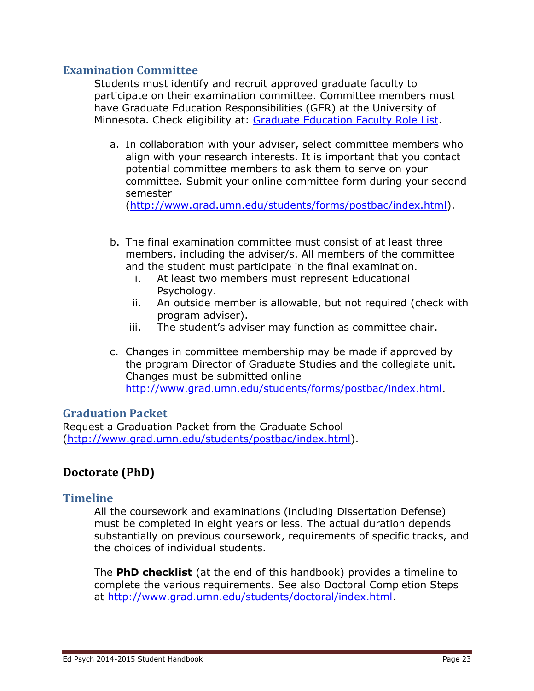# **Examination Committee**

Students must identify and recruit approved graduate faculty to participate on their examination committee. Committee members must have Graduate Education Responsibilities (GER) at the University of Minnesota. Check eligibility at: [Graduate Education Faculty Role List.](https://apps.asr.umn.edu/faculty_roles/)

a. In collaboration with your adviser, select committee members who align with your research interests. It is important that you contact potential committee members to ask them to serve on your committee. Submit your online committee form during your second semester

[\(http://www.grad.umn.edu/students/forms/postbac/index.html\)](http://www.grad.umn.edu/students/forms/postbac/index.html).

- b. The final examination committee must consist of at least three members, including the adviser/s. All members of the committee and the student must participate in the final examination.
	- i. At least two members must represent Educational Psychology.
	- ii. An outside member is allowable, but not required (check with program adviser).
	- iii. The student's adviser may function as committee chair.
- c. Changes in committee membership may be made if approved by the program Director of Graduate Studies and the collegiate unit. Changes must be submitted online [http://www.grad.umn.edu/students/forms/postbac/index.html.](http://www.grad.umn.edu/students/forms/postbac/index.html)

## **Graduation Packet**

Request a Graduation Packet from the Graduate School [\(http://www.grad.umn.edu/students/postbac/index.html\)](http://www.grad.umn.edu/students/postbac/index.html).

# **Doctorate (PhD)**

## **Timeline**

All the coursework and examinations (including Dissertation Defense) must be completed in eight years or less. The actual duration depends substantially on previous coursework, requirements of specific tracks, and the choices of individual students.

The **PhD checklist** (at the end of this handbook) provides a timeline to complete the various requirements. See also Doctoral Completion Steps at [http://www.grad.umn.edu/students/doctoral/index.html.](http://www.grad.umn.edu/students/doctoral/index.html)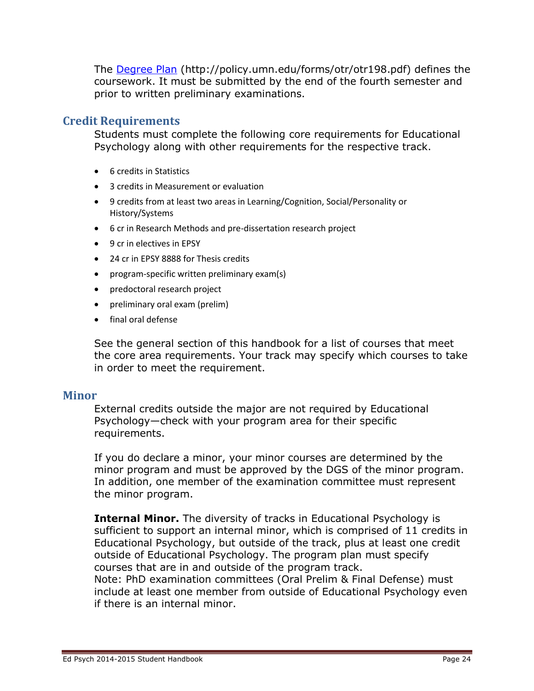The [Degree Plan](http://policy.umn.edu/forms/otr/otr198.pdf) (http://policy.umn.edu/forms/otr/otr198.pdf) defines the coursework. It must be submitted by the end of the fourth semester and prior to written preliminary examinations.

# **Credit Requirements**

Students must complete the following core requirements for Educational Psychology along with other requirements for the respective track.

- 6 credits in Statistics
- 3 credits in Measurement or evaluation
- 9 credits from at least two areas in Learning/Cognition, Social/Personality or History/Systems
- 6 cr in Research Methods and pre-dissertation research project
- 9 cr in electives in EPSY
- 24 cr in FPSY 8888 for Thesis credits
- program-specific written preliminary exam(s)
- predoctoral research project
- preliminary oral exam (prelim)
- final oral defense

See the general section of this handbook for a list of courses that meet the core area requirements. Your track may specify which courses to take in order to meet the requirement.

#### **Minor**

External credits outside the major are not required by Educational Psychology—check with your program area for their specific requirements.

If you do declare a minor, your minor courses are determined by the minor program and must be approved by the DGS of the minor program. In addition, one member of the examination committee must represent the minor program.

**Internal Minor.** The diversity of tracks in Educational Psychology is sufficient to support an internal minor, which is comprised of 11 credits in Educational Psychology, but outside of the track, plus at least one credit outside of Educational Psychology. The program plan must specify courses that are in and outside of the program track.

Note: PhD examination committees (Oral Prelim & Final Defense) must include at least one member from outside of Educational Psychology even if there is an internal minor.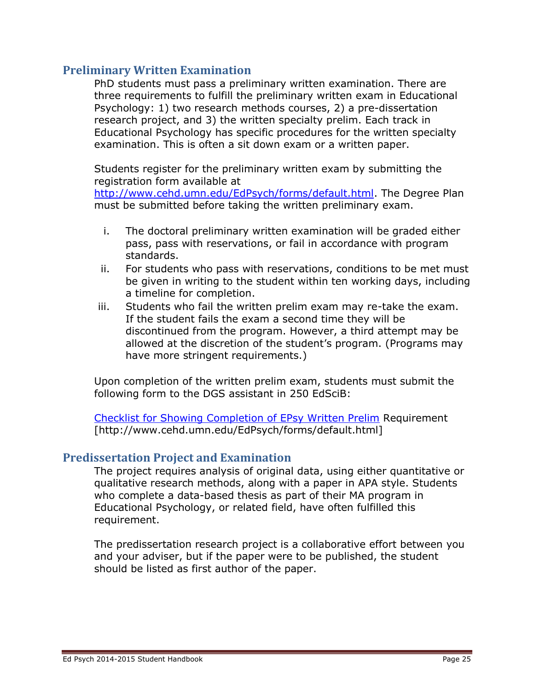# **Preliminary Written Examination**

PhD students must pass a preliminary written examination. There are three requirements to fulfill the preliminary written exam in Educational Psychology: 1) two research methods courses, 2) a pre-dissertation research project, and 3) the written specialty prelim. Each track in Educational Psychology has specific procedures for the written specialty examination. This is often a sit down exam or a written paper.

Students register for the preliminary written exam by submitting the registration form available at

[http://www.cehd.umn.edu/EdPsych/forms/default.html.](http://www.cehd.umn.edu/EdPsych/forms/default.html) The Degree Plan must be submitted before taking the written preliminary exam.

- i. The doctoral preliminary written examination will be graded either pass, pass with reservations, or fail in accordance with program standards.
- ii. For students who pass with reservations, conditions to be met must be given in writing to the student within ten working days, including a timeline for completion.
- iii. Students who fail the written prelim exam may re-take the exam. If the student fails the exam a second time they will be discontinued from the program. However, a third attempt may be allowed at the discretion of the student's program. (Programs may have more stringent requirements.)

Upon completion of the written prelim exam, students must submit the following form to the DGS assistant in 250 EdSciB:

[Checklist for Showing Completion of EPsy Written Prelim](http://www.cehd.umn.edu/EdPsych/forms/default.html) Requirement [http://www.cehd.umn.edu/EdPsych/forms/default.html]

## **Predissertation Project and Examination**

The project requires analysis of original data, using either quantitative or qualitative research methods, along with a paper in APA style. Students who complete a data-based thesis as part of their MA program in Educational Psychology, or related field, have often fulfilled this requirement.

The predissertation research project is a collaborative effort between you and your adviser, but if the paper were to be published, the student should be listed as first author of the paper.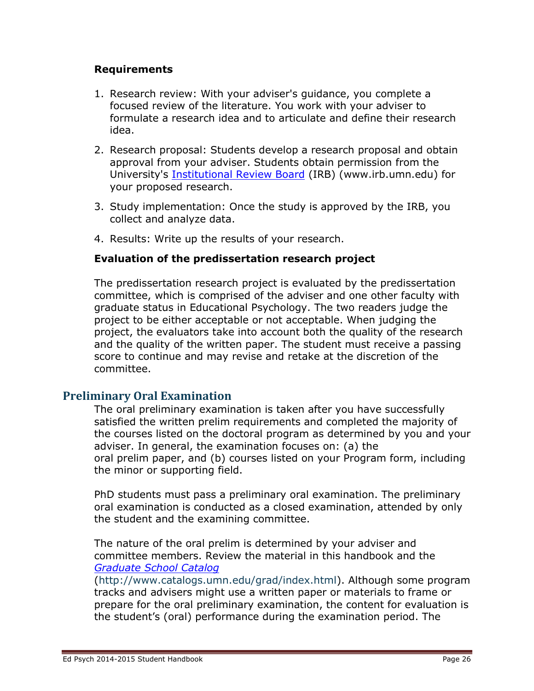### **Requirements**

- 1. Research review: With your adviser's guidance, you complete a focused review of the literature. You work with your adviser to formulate a research idea and to articulate and define their research idea.
- 2. Research proposal: Students develop a research proposal and obtain approval from your adviser. Students obtain permission from the University's **Institutional Review Board** (IRB) (www.irb.umn.edu) for your proposed research.
- 3. Study implementation: Once the study is approved by the IRB, you collect and analyze data.
- 4. Results: Write up the results of your research.

## **Evaluation of the predissertation research project**

The predissertation research project is evaluated by the predissertation committee, which is comprised of the adviser and one other faculty with graduate status in Educational Psychology. The two readers judge the project to be either acceptable or not acceptable. When judging the project, the evaluators take into account both the quality of the research and the quality of the written paper. The student must receive a passing score to continue and may revise and retake at the discretion of the committee.

# **Preliminary Oral Examination**

The oral preliminary examination is taken after you have successfully satisfied the written prelim requirements and completed the majority of the courses listed on the doctoral program as determined by you and your adviser. In general, the examination focuses on: (a) the oral prelim paper, and (b) courses listed on your Program form, including the minor or supporting field.

PhD students must pass a preliminary oral examination. The preliminary oral examination is conducted as a closed examination, attended by only the student and the examining committee.

The nature of the oral prelim is determined by your adviser and committee members. Review the material in this handbook and the *[Graduate School Catalog](http://www.catalogs.umn.edu/grad/index.html)*

(http://www.catalogs.umn.edu/grad/index.html). Although some program tracks and advisers might use a written paper or materials to frame or prepare for the oral preliminary examination, the content for evaluation is the student's (oral) performance during the examination period. The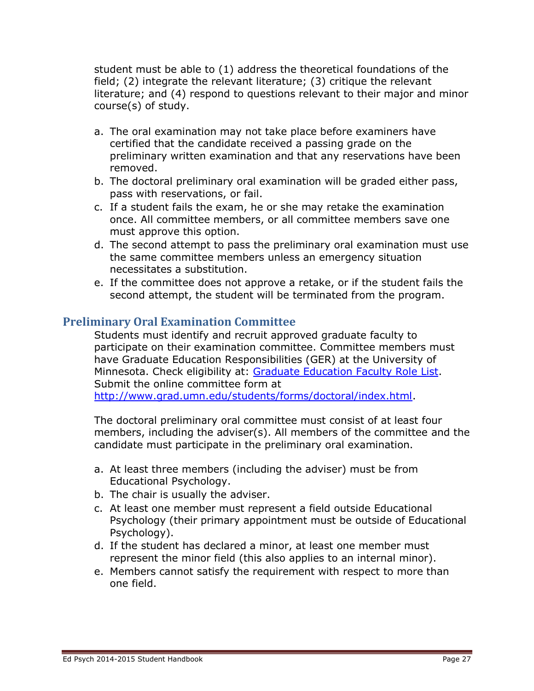student must be able to (1) address the theoretical foundations of the field; (2) integrate the relevant literature; (3) critique the relevant literature; and (4) respond to questions relevant to their major and minor course(s) of study.

- a. The oral examination may not take place before examiners have certified that the candidate received a passing grade on the preliminary written examination and that any reservations have been removed.
- b. The doctoral preliminary oral examination will be graded either pass, pass with reservations, or fail.
- c. If a student fails the exam, he or she may retake the examination once. All committee members, or all committee members save one must approve this option.
- d. The second attempt to pass the preliminary oral examination must use the same committee members unless an emergency situation necessitates a substitution.
- e. If the committee does not approve a retake, or if the student fails the second attempt, the student will be terminated from the program.

# **Preliminary Oral Examination Committee**

Students must identify and recruit approved graduate faculty to participate on their examination committee. Committee members must have Graduate Education Responsibilities (GER) at the University of Minnesota. Check eligibility at: [Graduate Education Faculty Role List.](https://apps.asr.umn.edu/faculty_roles/) Submit the online committee form at [http://www.grad.umn.edu/students/forms/doctoral/index.html.](http://www.grad.umn.edu/students/forms/doctoral/index.html)

The doctoral preliminary oral committee must consist of at least four members, including the adviser(s). All members of the committee and the candidate must participate in the preliminary oral examination.

- a. At least three members (including the adviser) must be from Educational Psychology.
- b. The chair is usually the adviser.
- c. At least one member must represent a field outside Educational Psychology (their primary appointment must be outside of Educational Psychology).
- d. If the student has declared a minor, at least one member must represent the minor field (this also applies to an internal minor).
- e. Members cannot satisfy the requirement with respect to more than one field.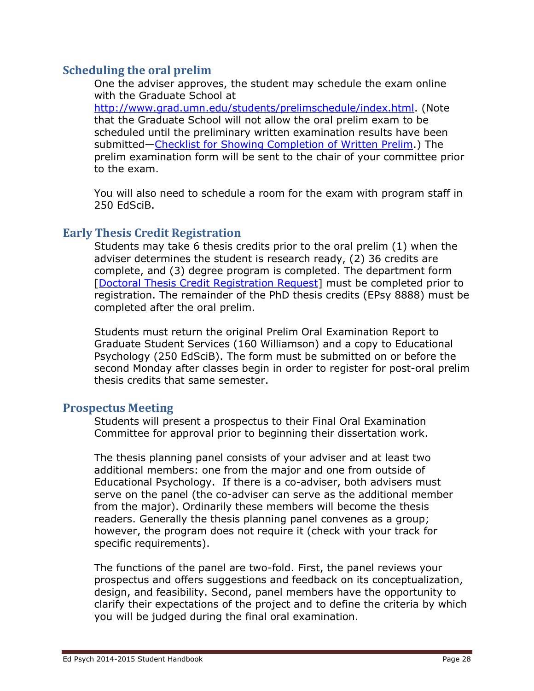# **Scheduling the oral prelim**

One the adviser approves, the student may schedule the exam online with the Graduate School at

[http://www.grad.umn.edu/students/prelimschedule/index.html.](http://www.grad.umn.edu/students/prelimschedule/index.html) (Note that the Graduate School will not allow the oral prelim exam to be scheduled until the preliminary written examination results have been submitted—[Checklist for Showing Completion of Written Prelim.](http://www.cehd.umn.edu/EdPsych/forms/Checklist%20written%20prelim.pdf)) The prelim examination form will be sent to the chair of your committee prior to the exam.

You will also need to schedule a room for the exam with program staff in 250 EdSciB.

## **Early Thesis Credit Registration**

Students may take 6 thesis credits prior to the oral prelim (1) when the adviser determines the student is research ready, (2) 36 credits are complete, and (3) degree program is completed. The department form [\[Doctoral Thesis Credit Registration Request\]](http://www.cehd.umn.edu/EdPsych/forms/default.html) must be completed prior to registration. The remainder of the PhD thesis credits (EPsy 8888) must be completed after the oral prelim.

Students must return the original Prelim Oral Examination Report to Graduate Student Services (160 Williamson) and a copy to Educational Psychology (250 EdSciB). The form must be submitted on or before the second Monday after classes begin in order to register for post-oral prelim thesis credits that same semester.

#### **Prospectus Meeting**

Students will present a prospectus to their Final Oral Examination Committee for approval prior to beginning their dissertation work.

The thesis planning panel consists of your adviser and at least two additional members: one from the major and one from outside of Educational Psychology. If there is a co-adviser, both advisers must serve on the panel (the co-adviser can serve as the additional member from the major). Ordinarily these members will become the thesis readers. Generally the thesis planning panel convenes as a group; however, the program does not require it (check with your track for specific requirements).

The functions of the panel are two-fold. First, the panel reviews your prospectus and offers suggestions and feedback on its conceptualization, design, and feasibility. Second, panel members have the opportunity to clarify their expectations of the project and to define the criteria by which you will be judged during the final oral examination.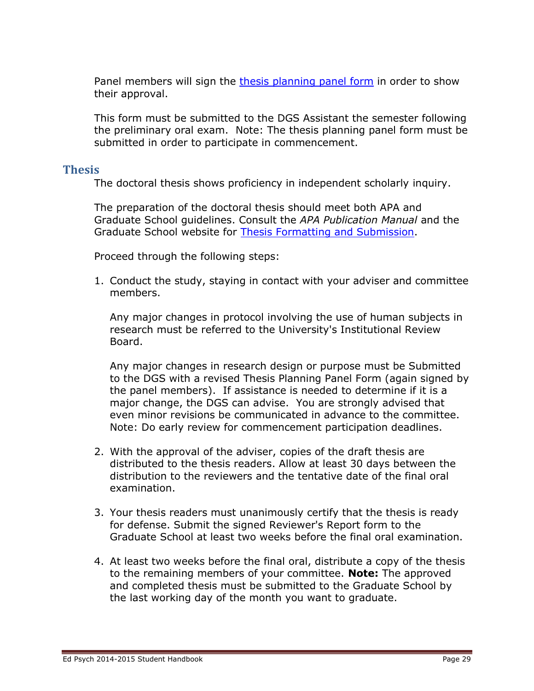Panel members will sign the [thesis planning panel form](http://www.cehd.umn.edu/EdPsych/forms/Thesis%20Planning%20Panel%20form.pdf) in order to show their approval.

This form must be submitted to the DGS Assistant the semester following the preliminary oral exam. Note: The thesis planning panel form must be submitted in order to participate in commencement.

#### **Thesis**

The doctoral thesis shows proficiency in independent scholarly inquiry.

The preparation of the doctoral thesis should meet both APA and Graduate School guidelines. Consult the *APA Publication Manual* and the Graduate School website for [Thesis Formatting and Submission.](http://www.grad.umn.edu/students/ThesisSubmission/index.html)

Proceed through the following steps:

1. Conduct the study, staying in contact with your adviser and committee members.

Any major changes in protocol involving the use of human subjects in research must be referred to the University's Institutional Review Board.

Any major changes in research design or purpose must be Submitted to the DGS with a revised Thesis Planning Panel Form (again signed by the panel members). If assistance is needed to determine if it is a major change, the DGS can advise. You are strongly advised that even minor revisions be communicated in advance to the committee. Note: Do early review for commencement participation deadlines.

- 2. With the approval of the adviser, copies of the draft thesis are distributed to the thesis readers. Allow at least 30 days between the distribution to the reviewers and the tentative date of the final oral examination.
- 3. Your thesis readers must unanimously certify that the thesis is ready for defense. Submit the signed Reviewer's Report form to the Graduate School at least two weeks before the final oral examination.
- 4. At least two weeks before the final oral, distribute a copy of the thesis to the remaining members of your committee. **Note:** The approved and completed thesis must be submitted to the Graduate School by the last working day of the month you want to graduate.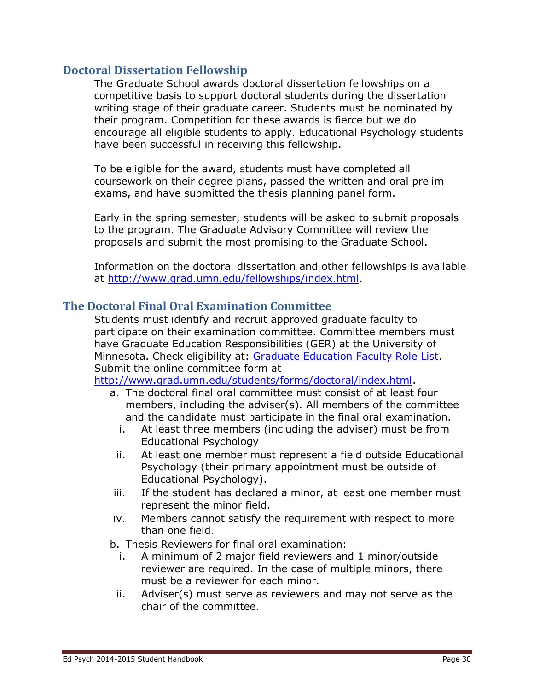## **Doctoral Dissertation Fellowship**

The Graduate School awards doctoral dissertation fellowships on a competitive basis to support doctoral students during the dissertation writing stage of their graduate career. Students must be nominated by their program. Competition for these awards is fierce but we do encourage all eligible students to apply. Educational Psychology students have been successful in receiving this fellowship.

To be eligible for the award, students must have completed all coursework on their degree plans, passed the written and oral prelim exams, and have submitted the thesis planning panel form.

Early in the spring semester, students will be asked to submit proposals to the program. The Graduate Advisory Committee will review the proposals and submit the most promising to the Graduate School.

Information on the doctoral dissertation and other fellowships is available at [http://www.grad.umn.edu/fellowships/index.html.](http://www.grad.umn.edu/fellowships/index.html)

# **The Doctoral Final Oral Examination Committee**

Students must identify and recruit approved graduate faculty to participate on their examination committee. Committee members must have Graduate Education Responsibilities (GER) at the University of Minnesota. Check eligibility at: [Graduate Education Faculty Role List.](https://apps.asr.umn.edu/faculty_roles/) Submit the online committee form at

[http://www.grad.umn.edu/students/forms/doctoral/index.html.](http://www.grad.umn.edu/students/forms/doctoral/index.html)

- a. The doctoral final oral committee must consist of at least four members, including the adviser(s). All members of the committee and the candidate must participate in the final oral examination.
	- i. At least three members (including the adviser) must be from Educational Psychology
	- ii. At least one member must represent a field outside Educational Psychology (their primary appointment must be outside of Educational Psychology).
- iii. If the student has declared a minor, at least one member must represent the minor field.
- iv. Members cannot satisfy the requirement with respect to more than one field.

b. Thesis Reviewers for final oral examination:

- i. A minimum of 2 major field reviewers and 1 minor/outside reviewer are required. In the case of multiple minors, there must be a reviewer for each minor.
- ii. Adviser(s) must serve as reviewers and may not serve as the chair of the committee.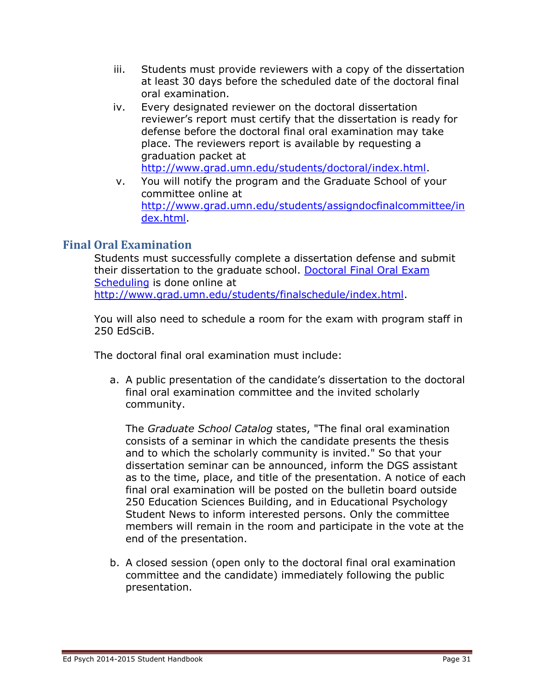- iii. Students must provide reviewers with a copy of the dissertation at least 30 days before the scheduled date of the doctoral final oral examination.
- iv. Every designated reviewer on the doctoral dissertation reviewer's report must certify that the dissertation is ready for defense before the doctoral final oral examination may take place. The reviewers report is available by requesting a graduation packet at [http://www.grad.umn.edu/students/doctoral/index.html.](http://www.grad.umn.edu/students/doctoral/index.html)
- v. You will notify the program and the Graduate School of your committee online at [http://www.grad.umn.edu/students/assigndocfinalcommittee/in](http://www.grad.umn.edu/students/assigndocfinalcommittee/index.html) [dex.html.](http://www.grad.umn.edu/students/assigndocfinalcommittee/index.html)

# **Final Oral Examination**

Students must successfully complete a dissertation defense and submit their dissertation to the graduate school. [Doctoral Final Oral Exam](http://www.grad.umn.edu/students/finalschedule/index.html)  [Scheduling](http://www.grad.umn.edu/students/finalschedule/index.html) is done online at [http://www.grad.umn.edu/students/finalschedule/index.html.](http://www.grad.umn.edu/students/finalschedule/index.html)

You will also need to schedule a room for the exam with program staff in 250 EdSciB.

The doctoral final oral examination must include:

a. A public presentation of the candidate's dissertation to the doctoral final oral examination committee and the invited scholarly community.

The *Graduate School Catalog* states, "The final oral examination consists of a seminar in which the candidate presents the thesis and to which the scholarly community is invited." So that your dissertation seminar can be announced, inform the DGS assistant as to the time, place, and title of the presentation. A notice of each final oral examination will be posted on the bulletin board outside 250 Education Sciences Building, and in Educational Psychology Student News to inform interested persons. Only the committee members will remain in the room and participate in the vote at the end of the presentation.

b. A closed session (open only to the doctoral final oral examination committee and the candidate) immediately following the public presentation.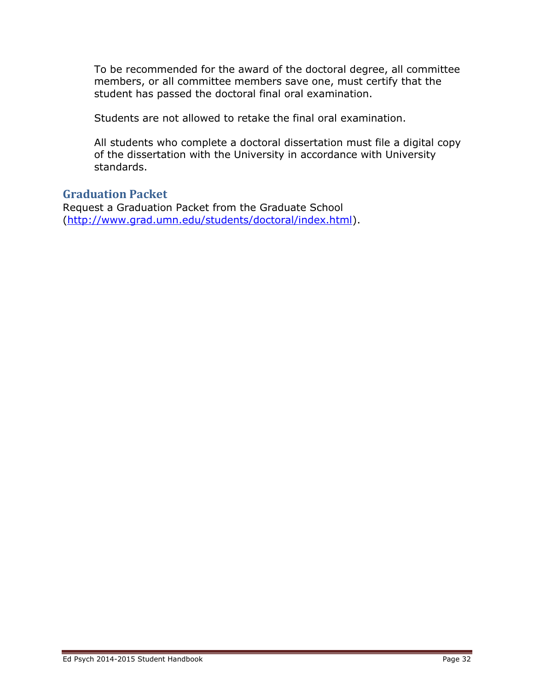To be recommended for the award of the doctoral degree, all committee members, or all committee members save one, must certify that the student has passed the doctoral final oral examination.

Students are not allowed to retake the final oral examination.

All students who complete a doctoral dissertation must file a digital copy of the dissertation with the University in accordance with University standards.

# **Graduation Packet**

Request a Graduation Packet from the Graduate School [\(http://www.grad.umn.edu/students/doctoral/index.html\)](http://www.grad.umn.edu/students/doctoral/index.html).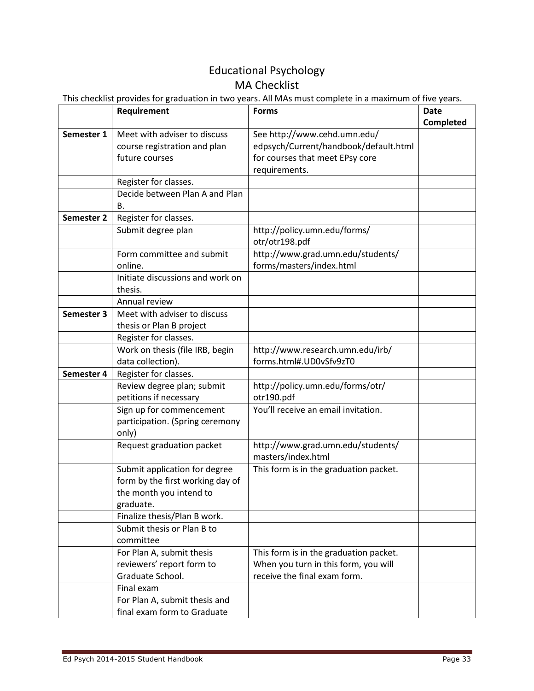# Educational Psychology

# MA Checklist

This checklist provides for graduation in two years. All MAs must complete in a maximum of five years.

|            | Requirement                                                                                               | <b>Forms</b>                                                  | <b>Date</b> |
|------------|-----------------------------------------------------------------------------------------------------------|---------------------------------------------------------------|-------------|
|            |                                                                                                           |                                                               | Completed   |
| Semester 1 | Meet with adviser to discuss                                                                              | See http://www.cehd.umn.edu/                                  |             |
|            | course registration and plan                                                                              | edpsych/Current/handbook/default.html                         |             |
|            | future courses                                                                                            | for courses that meet EPsy core                               |             |
|            |                                                                                                           | requirements.                                                 |             |
|            | Register for classes.                                                                                     |                                                               |             |
|            | Decide between Plan A and Plan<br>В.                                                                      |                                                               |             |
| Semester 2 | Register for classes.                                                                                     |                                                               |             |
|            | Submit degree plan                                                                                        | http://policy.umn.edu/forms/<br>otr/otr198.pdf                |             |
|            | Form committee and submit<br>online.                                                                      | http://www.grad.umn.edu/students/<br>forms/masters/index.html |             |
|            | Initiate discussions and work on<br>thesis.                                                               |                                                               |             |
|            | Annual review                                                                                             |                                                               |             |
| Semester 3 | Meet with adviser to discuss                                                                              |                                                               |             |
|            | thesis or Plan B project                                                                                  |                                                               |             |
|            | Register for classes.                                                                                     |                                                               |             |
|            | Work on thesis (file IRB, begin                                                                           | http://www.research.umn.edu/irb/                              |             |
|            | data collection).                                                                                         | forms.html#.UD0vSfv9zT0                                       |             |
| Semester 4 | Register for classes.                                                                                     |                                                               |             |
|            | Review degree plan; submit<br>petitions if necessary                                                      | http://policy.umn.edu/forms/otr/<br>otr190.pdf                |             |
|            | Sign up for commencement<br>participation. (Spring ceremony<br>only)                                      | You'll receive an email invitation.                           |             |
|            | Request graduation packet                                                                                 | http://www.grad.umn.edu/students/<br>masters/index.html       |             |
|            | Submit application for degree<br>form by the first working day of<br>the month you intend to<br>graduate. | This form is in the graduation packet.                        |             |
|            | Finalize thesis/Plan B work.                                                                              |                                                               |             |
|            | Submit thesis or Plan B to                                                                                |                                                               |             |
|            | committee                                                                                                 |                                                               |             |
|            | For Plan A, submit thesis                                                                                 | This form is in the graduation packet.                        |             |
|            | reviewers' report form to                                                                                 | When you turn in this form, you will                          |             |
|            | Graduate School.                                                                                          | receive the final exam form.                                  |             |
|            | Final exam                                                                                                |                                                               |             |
|            | For Plan A, submit thesis and                                                                             |                                                               |             |
|            | final exam form to Graduate                                                                               |                                                               |             |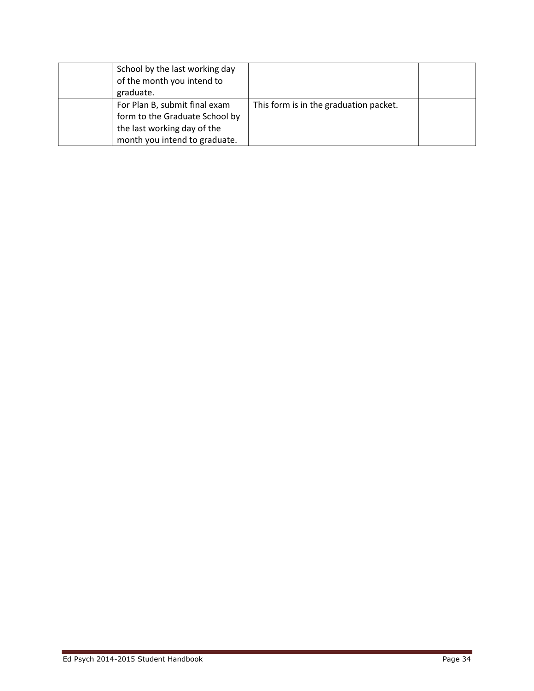| School by the last working day<br>of the month you intend to<br>graduate.                                                       |                                        |  |
|---------------------------------------------------------------------------------------------------------------------------------|----------------------------------------|--|
| For Plan B, submit final exam<br>form to the Graduate School by<br>the last working day of the<br>month you intend to graduate. | This form is in the graduation packet. |  |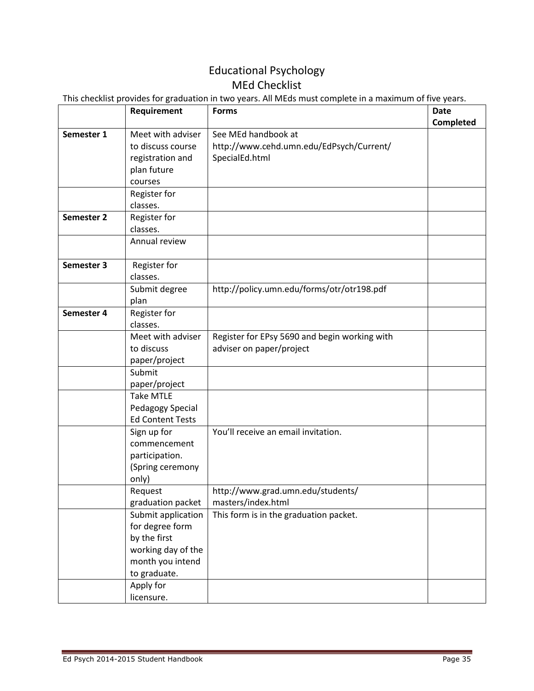# Educational Psychology MEd Checklist

This checklist provides for graduation in two years. All MEds must complete in a maximum of five years.

|            | Requirement             | <b>Forms</b>                                  | Date      |
|------------|-------------------------|-----------------------------------------------|-----------|
|            |                         |                                               | Completed |
| Semester 1 | Meet with adviser       | See MEd handbook at                           |           |
|            | to discuss course       | http://www.cehd.umn.edu/EdPsych/Current/      |           |
|            | registration and        | SpecialEd.html                                |           |
|            | plan future             |                                               |           |
|            | courses                 |                                               |           |
|            | Register for            |                                               |           |
|            | classes.                |                                               |           |
| Semester 2 | Register for            |                                               |           |
|            | classes.                |                                               |           |
|            | Annual review           |                                               |           |
| Semester 3 | Register for            |                                               |           |
|            | classes.                |                                               |           |
|            | Submit degree           | http://policy.umn.edu/forms/otr/otr198.pdf    |           |
|            | plan                    |                                               |           |
| Semester 4 | Register for            |                                               |           |
|            | classes.                |                                               |           |
|            | Meet with adviser       | Register for EPsy 5690 and begin working with |           |
|            | to discuss              | adviser on paper/project                      |           |
|            | paper/project           |                                               |           |
|            | Submit                  |                                               |           |
|            | paper/project           |                                               |           |
|            | <b>Take MTLE</b>        |                                               |           |
|            | Pedagogy Special        |                                               |           |
|            | <b>Ed Content Tests</b> |                                               |           |
|            | Sign up for             | You'll receive an email invitation.           |           |
|            | commencement            |                                               |           |
|            | participation.          |                                               |           |
|            | (Spring ceremony        |                                               |           |
|            | only)                   |                                               |           |
|            | Request                 | http://www.grad.umn.edu/students/             |           |
|            | graduation packet       | masters/index.html                            |           |
|            | Submit application      | This form is in the graduation packet.        |           |
|            | for degree form         |                                               |           |
|            | by the first            |                                               |           |
|            | working day of the      |                                               |           |
|            | month you intend        |                                               |           |
|            | to graduate.            |                                               |           |
|            | Apply for               |                                               |           |
|            | licensure.              |                                               |           |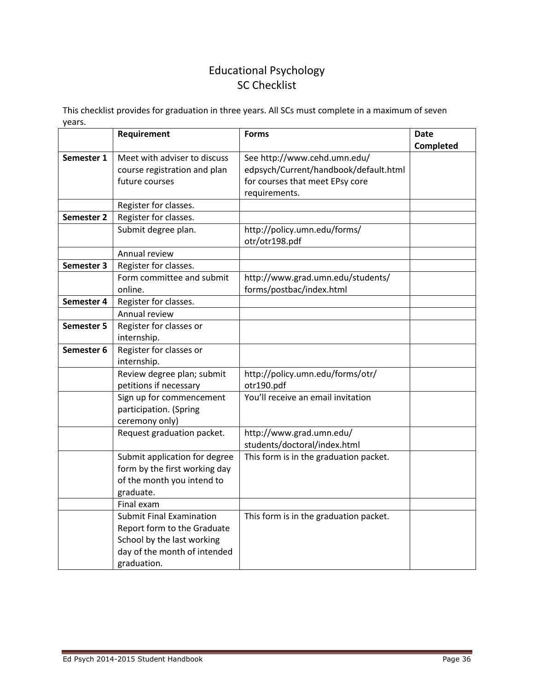# Educational Psychology SC Checklist

This checklist provides for graduation in three years. All SCs must complete in a maximum of seven years.

|                   | Requirement                     | <b>Forms</b>                                   | <b>Date</b> |
|-------------------|---------------------------------|------------------------------------------------|-------------|
|                   |                                 |                                                | Completed   |
| Semester 1        | Meet with adviser to discuss    | See http://www.cehd.umn.edu/                   |             |
|                   | course registration and plan    | edpsych/Current/handbook/default.html          |             |
|                   | future courses                  | for courses that meet EPsy core                |             |
|                   |                                 | requirements.                                  |             |
|                   | Register for classes.           |                                                |             |
| Semester 2        | Register for classes.           |                                                |             |
|                   | Submit degree plan.             | http://policy.umn.edu/forms/<br>otr/otr198.pdf |             |
|                   | Annual review                   |                                                |             |
| Semester 3        | Register for classes.           |                                                |             |
|                   | Form committee and submit       | http://www.grad.umn.edu/students/              |             |
|                   | online.                         | forms/postbac/index.html                       |             |
| Semester 4        | Register for classes.           |                                                |             |
|                   | Annual review                   |                                                |             |
| <b>Semester 5</b> | Register for classes or         |                                                |             |
|                   | internship.                     |                                                |             |
| Semester 6        | Register for classes or         |                                                |             |
|                   | internship.                     |                                                |             |
|                   | Review degree plan; submit      | http://policy.umn.edu/forms/otr/               |             |
|                   | petitions if necessary          | otr190.pdf                                     |             |
|                   | Sign up for commencement        | You'll receive an email invitation             |             |
|                   | participation. (Spring          |                                                |             |
|                   | ceremony only)                  |                                                |             |
|                   | Request graduation packet.      | http://www.grad.umn.edu/                       |             |
|                   |                                 | students/doctoral/index.html                   |             |
|                   | Submit application for degree   | This form is in the graduation packet.         |             |
|                   | form by the first working day   |                                                |             |
|                   | of the month you intend to      |                                                |             |
|                   | graduate.                       |                                                |             |
|                   | Final exam                      |                                                |             |
|                   | <b>Submit Final Examination</b> | This form is in the graduation packet.         |             |
|                   | Report form to the Graduate     |                                                |             |
|                   | School by the last working      |                                                |             |
|                   | day of the month of intended    |                                                |             |
|                   | graduation.                     |                                                |             |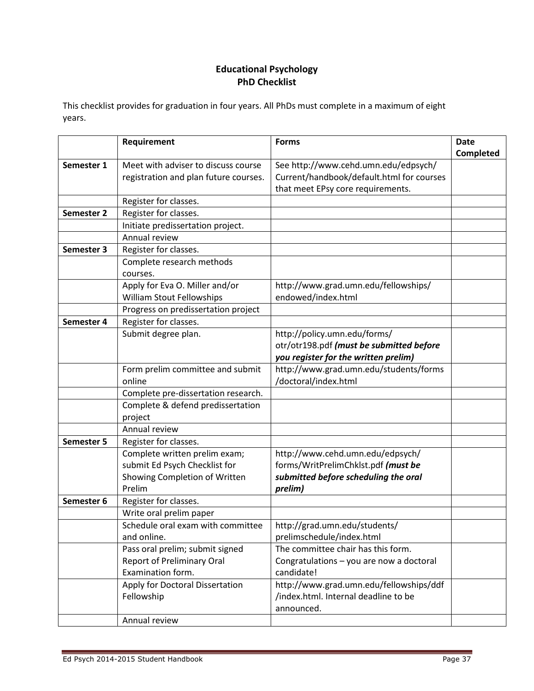#### **Educational Psychology PhD Checklist**

This checklist provides for graduation in four years. All PhDs must complete in a maximum of eight years.

|            | Requirement                           | <b>Forms</b>                              | <b>Date</b> |
|------------|---------------------------------------|-------------------------------------------|-------------|
|            |                                       |                                           | Completed   |
| Semester 1 | Meet with adviser to discuss course   | See http://www.cehd.umn.edu/edpsych/      |             |
|            | registration and plan future courses. | Current/handbook/default.html for courses |             |
|            |                                       | that meet EPsy core requirements.         |             |
|            | Register for classes.                 |                                           |             |
| Semester 2 | Register for classes.                 |                                           |             |
|            | Initiate predissertation project.     |                                           |             |
|            | Annual review                         |                                           |             |
| Semester 3 | Register for classes.                 |                                           |             |
|            | Complete research methods             |                                           |             |
|            | courses.                              |                                           |             |
|            | Apply for Eva O. Miller and/or        | http://www.grad.umn.edu/fellowships/      |             |
|            | William Stout Fellowships             | endowed/index.html                        |             |
|            | Progress on predissertation project   |                                           |             |
| Semester 4 | Register for classes.                 |                                           |             |
|            | Submit degree plan.                   | http://policy.umn.edu/forms/              |             |
|            |                                       | otr/otr198.pdf (must be submitted before  |             |
|            |                                       | you register for the written prelim)      |             |
|            | Form prelim committee and submit      | http://www.grad.umn.edu/students/forms    |             |
|            | online                                | /doctoral/index.html                      |             |
|            | Complete pre-dissertation research.   |                                           |             |
|            | Complete & defend predissertation     |                                           |             |
|            | project                               |                                           |             |
|            | Annual review                         |                                           |             |
| Semester 5 | Register for classes.                 |                                           |             |
|            | Complete written prelim exam;         | http://www.cehd.umn.edu/edpsych/          |             |
|            | submit Ed Psych Checklist for         | forms/WritPrelimChklst.pdf (must be       |             |
|            | Showing Completion of Written         | submitted before scheduling the oral      |             |
|            | Prelim                                | prelim)                                   |             |
| Semester 6 | Register for classes.                 |                                           |             |
|            | Write oral prelim paper               |                                           |             |
|            | Schedule oral exam with committee     | http://grad.umn.edu/students/             |             |
|            | and online.                           | prelimschedule/index.html                 |             |
|            | Pass oral prelim; submit signed       | The committee chair has this form.        |             |
|            | <b>Report of Preliminary Oral</b>     | Congratulations - you are now a doctoral  |             |
|            | Examination form.                     | candidate!                                |             |
|            | Apply for Doctoral Dissertation       | http://www.grad.umn.edu/fellowships/ddf   |             |
|            | Fellowship                            | /index.html. Internal deadline to be      |             |
|            |                                       | announced.                                |             |
|            | Annual review                         |                                           |             |